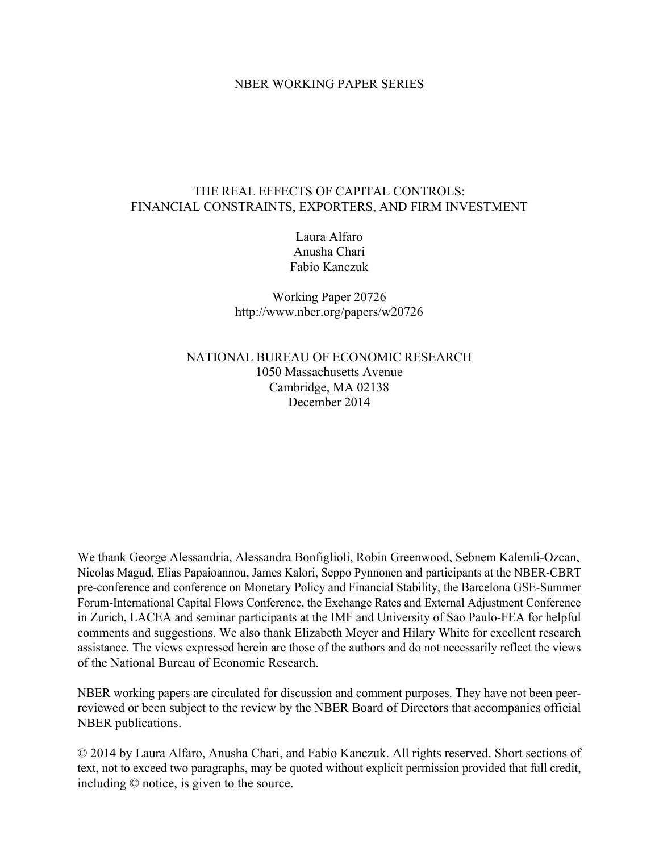## NBER WORKING PAPER SERIES

# THE REAL EFFECTS OF CAPITAL CONTROLS: FINANCIAL CONSTRAINTS, EXPORTERS, AND FIRM INVESTMENT

Laura Alfaro Anusha Chari Fabio Kanczuk

Working Paper 20726 http://www.nber.org/papers/w20726

NATIONAL BUREAU OF ECONOMIC RESEARCH 1050 Massachusetts Avenue Cambridge, MA 02138 December 2014

We thank George Alessandria, Alessandra Bonfiglioli, Robin Greenwood, Sebnem Kalemli-Ozcan, Nicolas Magud, Elias Papaioannou, James Kalori, Seppo Pynnonen and participants at the NBER-CBRT pre-conference and conference on Monetary Policy and Financial Stability, the Barcelona GSE-Summer Forum-International Capital Flows Conference, the Exchange Rates and External Adjustment Conference in Zurich, LACEA and seminar participants at the IMF and University of Sao Paulo-FEA for helpful comments and suggestions. We also thank Elizabeth Meyer and Hilary White for excellent research assistance. The views expressed herein are those of the authors and do not necessarily reflect the views of the National Bureau of Economic Research.

NBER working papers are circulated for discussion and comment purposes. They have not been peerreviewed or been subject to the review by the NBER Board of Directors that accompanies official NBER publications.

© 2014 by Laura Alfaro, Anusha Chari, and Fabio Kanczuk. All rights reserved. Short sections of text, not to exceed two paragraphs, may be quoted without explicit permission provided that full credit, including © notice, is given to the source.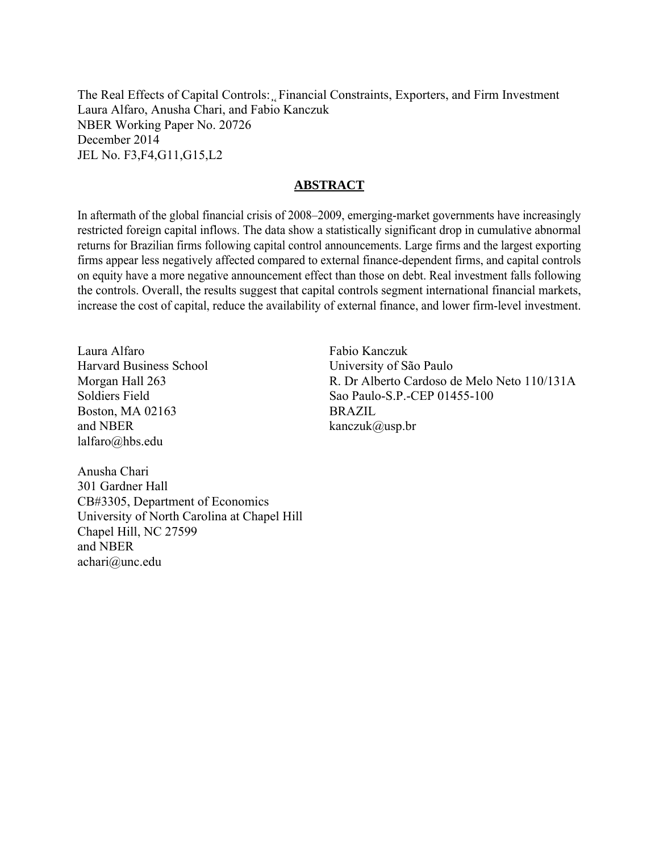The Real Effects of Capital Controls: Financial Constraints, Exporters, and Firm Investment Laura Alfaro, Anusha Chari, and Fabio Kanczuk NBER Working Paper No. 20726 December 2014 JEL No. F3,F4,G11,G15,L2

# **ABSTRACT**

In aftermath of the global financial crisis of 2008–2009, emerging-market governments have increasingly restricted foreign capital inflows. The data show a statistically significant drop in cumulative abnormal returns for Brazilian firms following capital control announcements. Large firms and the largest exporting firms appear less negatively affected compared to external finance-dependent firms, and capital controls on equity have a more negative announcement effect than those on debt. Real investment falls following the controls. Overall, the results suggest that capital controls segment international financial markets, increase the cost of capital, reduce the availability of external finance, and lower firm-level investment.

Laura Alfaro Harvard Business School Morgan Hall 263 Soldiers Field Boston, MA 02163 and NBER lalfaro@hbs.edu

Fabio Kanczuk University of São Paulo R. Dr Alberto Cardoso de Melo Neto 110/131A Sao Paulo-S.P.-CEP 01455-100 **BRAZIL** kanczuk@usp.br

Anusha Chari 301 Gardner Hall CB#3305, Department of Economics University of North Carolina at Chapel Hill Chapel Hill, NC 27599 and NBER achari@unc.edu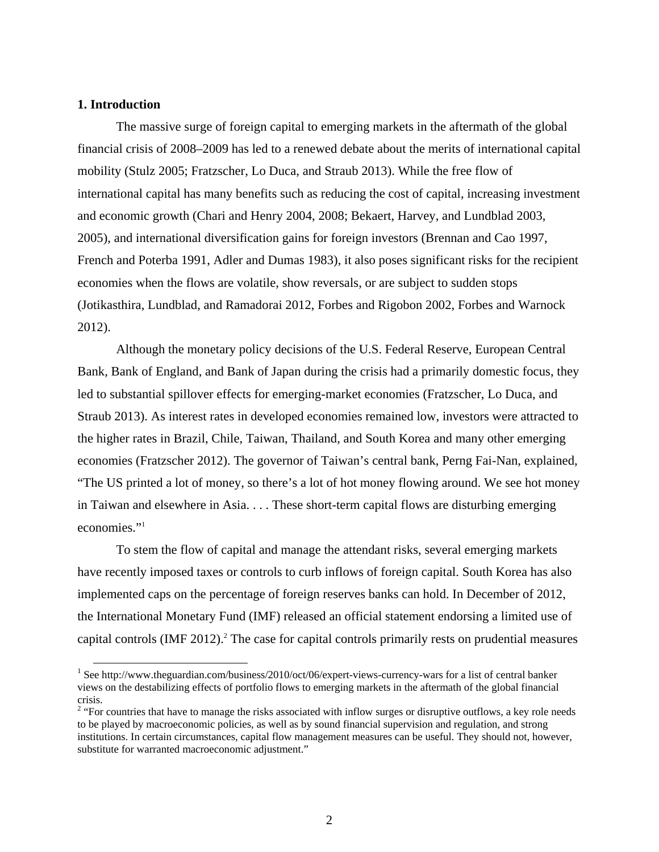#### **1. Introduction**

The massive surge of foreign capital to emerging markets in the aftermath of the global financial crisis of 2008–2009 has led to a renewed debate about the merits of international capital mobility (Stulz 2005; Fratzscher, Lo Duca, and Straub 2013). While the free flow of international capital has many benefits such as reducing the cost of capital, increasing investment and economic growth (Chari and Henry 2004, 2008; Bekaert, Harvey, and Lundblad 2003, 2005), and international diversification gains for foreign investors (Brennan and Cao 1997, French and Poterba 1991, Adler and Dumas 1983), it also poses significant risks for the recipient economies when the flows are volatile, show reversals, or are subject to sudden stops (Jotikasthira, Lundblad, and Ramadorai 2012, Forbes and Rigobon 2002, Forbes and Warnock 2012).

Although the monetary policy decisions of the U.S. Federal Reserve, European Central Bank, Bank of England, and Bank of Japan during the crisis had a primarily domestic focus, they led to substantial spillover effects for emerging-market economies (Fratzscher, Lo Duca, and Straub 2013). As interest rates in developed economies remained low, investors were attracted to the higher rates in Brazil, Chile, Taiwan, Thailand, and South Korea and many other emerging economies (Fratzscher 2012). The governor of Taiwan's central bank, Perng Fai-Nan, explained, "The US printed a lot of money, so there's a lot of hot money flowing around. We see hot money in Taiwan and elsewhere in Asia. . . . These short-term capital flows are disturbing emerging economies."<sup>1</sup>

To stem the flow of capital and manage the attendant risks, several emerging markets have recently imposed taxes or controls to curb inflows of foreign capital. South Korea has also implemented caps on the percentage of foreign reserves banks can hold. In December of 2012, the International Monetary Fund (IMF) released an official statement endorsing a limited use of capital controls (IMF 2012).<sup>2</sup> The case for capital controls primarily rests on prudential measures

<sup>&</sup>lt;sup>1</sup> See http://www.theguardian.com/business/2010/oct/06/expert-views-currency-wars for a list of central banker views on the destabilizing effects of portfolio flows to emerging markets in the aftermath of the global financial crisis. 2 "For countries that have to manage the risks associated with inflow surges or disruptive outflows, a key role needs

to be played by macroeconomic policies, as well as by sound financial supervision and regulation, and strong institutions. In certain circumstances, capital flow management measures can be useful. They should not, however, substitute for warranted macroeconomic adjustment."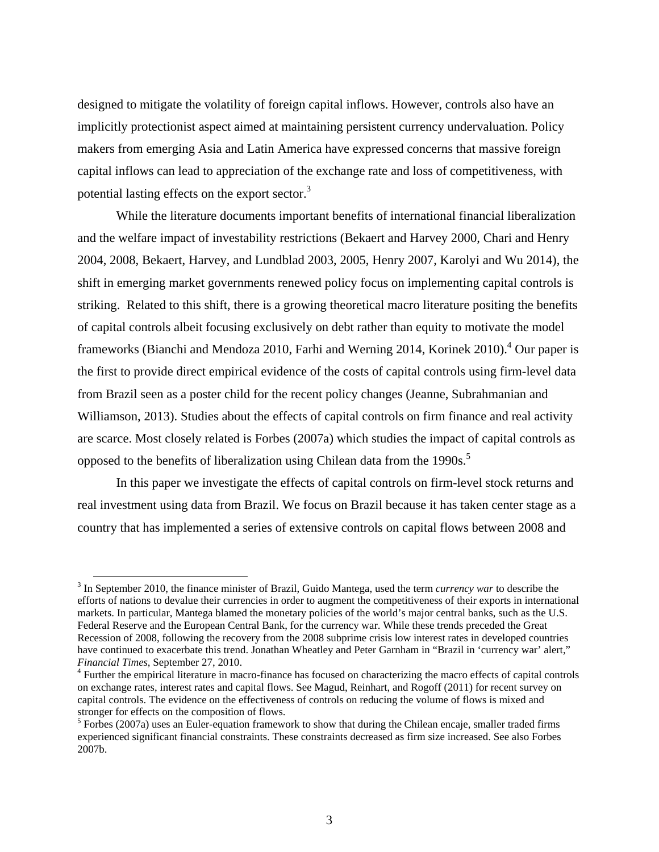designed to mitigate the volatility of foreign capital inflows. However, controls also have an implicitly protectionist aspect aimed at maintaining persistent currency undervaluation. Policy makers from emerging Asia and Latin America have expressed concerns that massive foreign capital inflows can lead to appreciation of the exchange rate and loss of competitiveness, with potential lasting effects on the export sector.<sup>3</sup>

While the literature documents important benefits of international financial liberalization and the welfare impact of investability restrictions (Bekaert and Harvey 2000, Chari and Henry 2004, 2008, Bekaert, Harvey, and Lundblad 2003, 2005, Henry 2007, Karolyi and Wu 2014), the shift in emerging market governments renewed policy focus on implementing capital controls is striking. Related to this shift, there is a growing theoretical macro literature positing the benefits of capital controls albeit focusing exclusively on debt rather than equity to motivate the model frameworks (Bianchi and Mendoza 2010, Farhi and Werning 2014, Korinek 2010).<sup>4</sup> Our paper is the first to provide direct empirical evidence of the costs of capital controls using firm-level data from Brazil seen as a poster child for the recent policy changes (Jeanne, Subrahmanian and Williamson, 2013). Studies about the effects of capital controls on firm finance and real activity are scarce. Most closely related is Forbes (2007a) which studies the impact of capital controls as opposed to the benefits of liberalization using Chilean data from the 1990s.<sup>5</sup>

In this paper we investigate the effects of capital controls on firm-level stock returns and real investment using data from Brazil. We focus on Brazil because it has taken center stage as a country that has implemented a series of extensive controls on capital flows between 2008 and

<sup>&</sup>lt;sup>3</sup> In September 2010, the finance minister of Brazil, Guido Mantega, used the term *currency war* to describe the efforts of nations to devalue their currencies in order to augment the competitiveness of their exports in international markets. In particular, Mantega blamed the monetary policies of the world's major central banks, such as the U.S. Federal Reserve and the European Central Bank, for the currency war. While these trends preceded the Great Recession of 2008, following the recovery from the 2008 subprime crisis low interest rates in developed countries have continued to exacerbate this trend. Jonathan Wheatley and Peter Garnham in "Brazil in 'currency war' alert," *Financial Times*, September 27, 2010. 4

<sup>&</sup>lt;sup>4</sup> Further the empirical literature in macro-finance has focused on characterizing the macro effects of capital controls on exchange rates, interest rates and capital flows. See Magud, Reinhart, and Rogoff (2011) for recent survey on capital controls. The evidence on the effectiveness of controls on reducing the volume of flows is mixed and stronger for effects on the composition of flows.

<sup>&</sup>lt;sup>5</sup> Forbes (2007a) uses an Euler-equation framework to show that during the Chilean encaje, smaller traded firms experienced significant financial constraints. These constraints decreased as firm size increased. See also Forbes 2007b.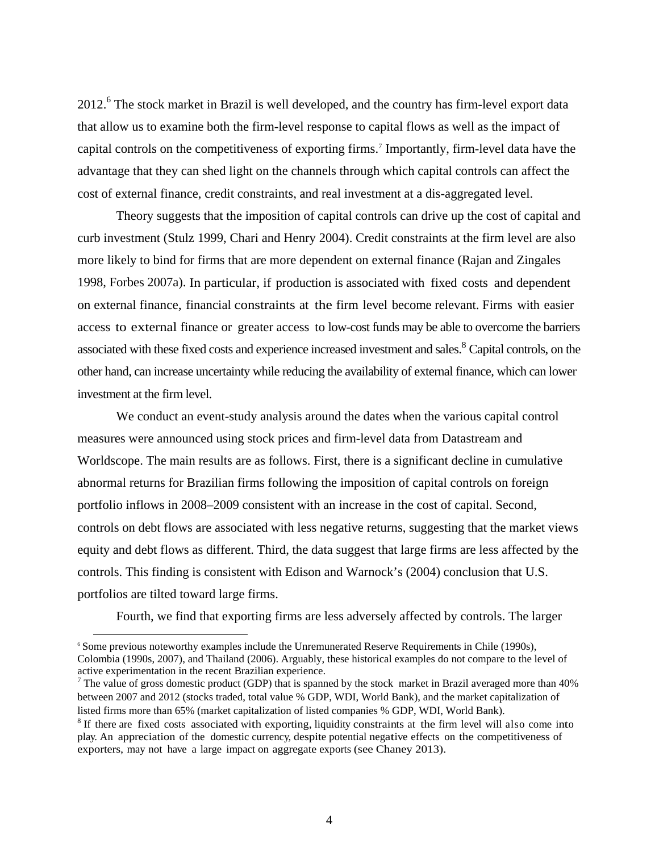2012.<sup>6</sup> The stock market in Brazil is well developed, and the country has firm-level export data that allow us to examine both the firm-level response to capital flows as well as the impact of capital controls on the competitiveness of exporting firms.<sup>7</sup> Importantly, firm-level data have the advantage that they can shed light on the channels through which capital controls can affect the cost of external finance, credit constraints, and real investment at a dis-aggregated level.

Theory suggests that the imposition of capital controls can drive up the cost of capital and curb investment (Stulz 1999, Chari and Henry 2004). Credit constraints at the firm level are also more likely to bind for firms that are more dependent on external finance (Rajan and Zingales 1998, Forbes 2007a). In particular, if production is associated with fixed costs and dependent on external finance, financial constraints at the firm level become relevant. Firms with easier access to external finance or greater access to low-cost funds may be able to overcome the barriers associated with these fixed costs and experience increased investment and sales.<sup>8</sup> Capital controls, on the other hand, can increase uncertainty while reducing the availability of external finance, which can lower investment at the firm level.

We conduct an event-study analysis around the dates when the various capital control measures were announced using stock prices and firm-level data from Datastream and Worldscope. The main results are as follows. First, there is a significant decline in cumulative abnormal returns for Brazilian firms following the imposition of capital controls on foreign portfolio inflows in 2008–2009 consistent with an increase in the cost of capital. Second, controls on debt flows are associated with less negative returns, suggesting that the market views equity and debt flows as different. Third, the data suggest that large firms are less affected by the controls. This finding is consistent with Edison and Warnock's (2004) conclusion that U.S. portfolios are tilted toward large firms.

Fourth, we find that exporting firms are less adversely affected by controls. The larger

-

<sup>6</sup> Some previous noteworthy examples include the Unremunerated Reserve Requirements in Chile (1990s), Colombia (1990s, 2007), and Thailand (2006). Arguably, these historical examples do not compare to the level of active experimentation in the recent Brazilian experience. 7

The value of gross domestic product (GDP) that is spanned by the stock market in Brazil averaged more than  $40\%$ between 2007 and 2012 (stocks traded, total value % GDP, WDI, World Bank), and the market capitalization of listed firms more than 65% (market capitalization of listed companies % GDP, WDI, World Bank).

<sup>&</sup>lt;sup>8</sup> If there are fixed costs associated with exporting, liquidity constraints at the firm level will also come into play. An appreciation of the domestic currency, despite potential negative effects on the competitiveness of exporters, may not have a large impact on aggregate exports (see Chaney 2013).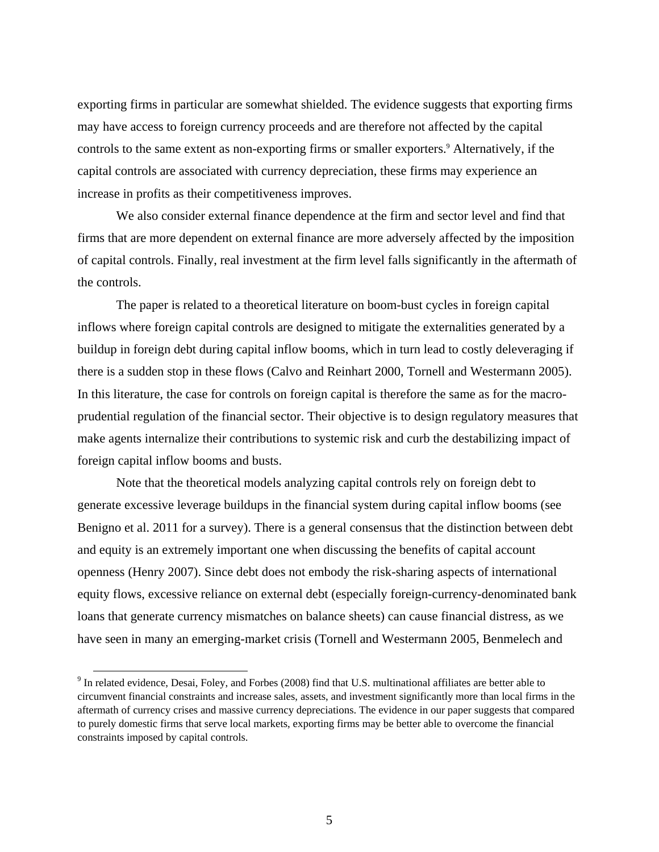exporting firms in particular are somewhat shielded. The evidence suggests that exporting firms may have access to foreign currency proceeds and are therefore not affected by the capital controls to the same extent as non-exporting firms or smaller exporters.<sup>9</sup> Alternatively, if the capital controls are associated with currency depreciation, these firms may experience an increase in profits as their competitiveness improves.

We also consider external finance dependence at the firm and sector level and find that firms that are more dependent on external finance are more adversely affected by the imposition of capital controls. Finally, real investment at the firm level falls significantly in the aftermath of the controls.

The paper is related to a theoretical literature on boom-bust cycles in foreign capital inflows where foreign capital controls are designed to mitigate the externalities generated by a buildup in foreign debt during capital inflow booms, which in turn lead to costly deleveraging if there is a sudden stop in these flows (Calvo and Reinhart 2000, Tornell and Westermann 2005). In this literature, the case for controls on foreign capital is therefore the same as for the macroprudential regulation of the financial sector. Their objective is to design regulatory measures that make agents internalize their contributions to systemic risk and curb the destabilizing impact of foreign capital inflow booms and busts.

Note that the theoretical models analyzing capital controls rely on foreign debt to generate excessive leverage buildups in the financial system during capital inflow booms (see Benigno et al. 2011 for a survey). There is a general consensus that the distinction between debt and equity is an extremely important one when discussing the benefits of capital account openness (Henry 2007). Since debt does not embody the risk-sharing aspects of international equity flows, excessive reliance on external debt (especially foreign-currency-denominated bank loans that generate currency mismatches on balance sheets) can cause financial distress, as we have seen in many an emerging-market crisis (Tornell and Westermann 2005, Benmelech and

<sup>&</sup>lt;sup>9</sup> In related evidence, Desai, Foley, and Forbes (2008) find that U.S. multinational affiliates are better able to circumvent financial constraints and increase sales, assets, and investment significantly more than local firms in the aftermath of currency crises and massive currency depreciations. The evidence in our paper suggests that compared to purely domestic firms that serve local markets, exporting firms may be better able to overcome the financial constraints imposed by capital controls.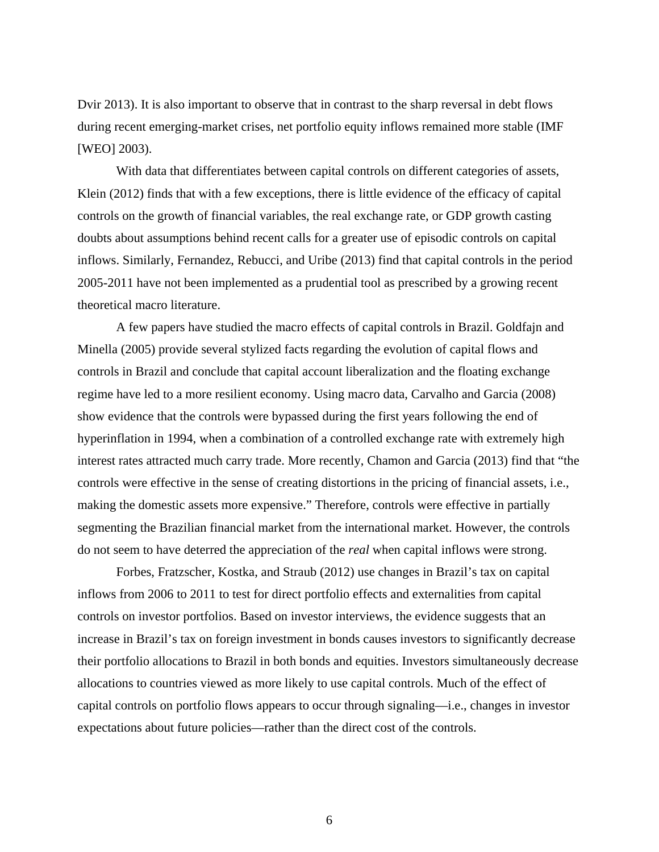Dvir 2013). It is also important to observe that in contrast to the sharp reversal in debt flows during recent emerging-market crises, net portfolio equity inflows remained more stable (IMF [WEO] 2003).

With data that differentiates between capital controls on different categories of assets, Klein (2012) finds that with a few exceptions, there is little evidence of the efficacy of capital controls on the growth of financial variables, the real exchange rate, or GDP growth casting doubts about assumptions behind recent calls for a greater use of episodic controls on capital inflows. Similarly, Fernandez, Rebucci, and Uribe (2013) find that capital controls in the period 2005-2011 have not been implemented as a prudential tool as prescribed by a growing recent theoretical macro literature.

A few papers have studied the macro effects of capital controls in Brazil. Goldfajn and Minella (2005) provide several stylized facts regarding the evolution of capital flows and controls in Brazil and conclude that capital account liberalization and the floating exchange regime have led to a more resilient economy. Using macro data, Carvalho and Garcia (2008) show evidence that the controls were bypassed during the first years following the end of hyperinflation in 1994, when a combination of a controlled exchange rate with extremely high interest rates attracted much carry trade. More recently, Chamon and Garcia (2013) find that "the controls were effective in the sense of creating distortions in the pricing of financial assets, i.e., making the domestic assets more expensive." Therefore, controls were effective in partially segmenting the Brazilian financial market from the international market. However, the controls do not seem to have deterred the appreciation of the *real* when capital inflows were strong.

Forbes, Fratzscher, Kostka, and Straub (2012) use changes in Brazil's tax on capital inflows from 2006 to 2011 to test for direct portfolio effects and externalities from capital controls on investor portfolios. Based on investor interviews, the evidence suggests that an increase in Brazil's tax on foreign investment in bonds causes investors to significantly decrease their portfolio allocations to Brazil in both bonds and equities. Investors simultaneously decrease allocations to countries viewed as more likely to use capital controls. Much of the effect of capital controls on portfolio flows appears to occur through signaling—i.e., changes in investor expectations about future policies—rather than the direct cost of the controls.

6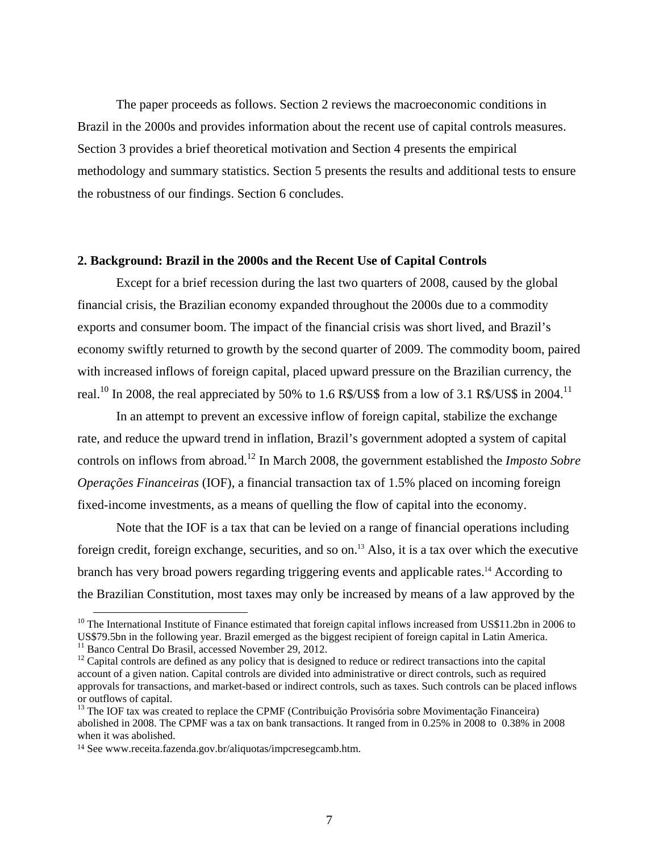The paper proceeds as follows. Section 2 reviews the macroeconomic conditions in Brazil in the 2000s and provides information about the recent use of capital controls measures. Section 3 provides a brief theoretical motivation and Section 4 presents the empirical methodology and summary statistics. Section 5 presents the results and additional tests to ensure the robustness of our findings. Section 6 concludes.

## **2. Background: Brazil in the 2000s and the Recent Use of Capital Controls**

Except for a brief recession during the last two quarters of 2008, caused by the global financial crisis, the Brazilian economy expanded throughout the 2000s due to a commodity exports and consumer boom. The impact of the financial crisis was short lived, and Brazil's economy swiftly returned to growth by the second quarter of 2009. The commodity boom, paired with increased inflows of foreign capital, placed upward pressure on the Brazilian currency, the real.<sup>10</sup> In 2008, the real appreciated by 50% to 1.6 R\$/US\$ from a low of 3.1 R\$/US\$ in 2004.<sup>11</sup>

In an attempt to prevent an excessive inflow of foreign capital, stabilize the exchange rate, and reduce the upward trend in inflation, Brazil's government adopted a system of capital controls on inflows from abroad.12 In March 2008, the government established the *Imposto Sobre Operações Financeiras* (IOF), a financial transaction tax of 1.5% placed on incoming foreign fixed-income investments, as a means of quelling the flow of capital into the economy.

Note that the IOF is a tax that can be levied on a range of financial operations including foreign credit, foreign exchange, securities, and so on.13 Also, it is a tax over which the executive branch has very broad powers regarding triggering events and applicable rates.<sup>14</sup> According to the Brazilian Constitution, most taxes may only be increased by means of a law approved by the

 $10$  The International Institute of Finance estimated that foreign capital inflows increased from US\$11.2bn in 2006 to US\$79.5bn in the following year. Brazil emerged as the biggest recipient of foreign capital in Latin America. <sup>11</sup> Banco Central Do Brasil, accessed November 29, 2012.

 $12$  Capital controls are defined as any policy that is designed to reduce or redirect transactions into the capital account of a given nation. Capital controls are divided into administrative or direct controls, such as required approvals for transactions, and market-based or indirect controls, such as taxes. Such controls can be placed inflows or outflows of capital.

<sup>&</sup>lt;sup>13</sup> The IOF tax was created to replace the CPMF (Contribuição Provisória sobre Movimentação Financeira) abolished in 2008. The CPMF was a tax on bank transactions. It ranged from in 0.25% in 2008 to 0.38% in 2008 when it was abolished.

<sup>14</sup> See www.receita.fazenda.gov.br/aliquotas/impcresegcamb.htm.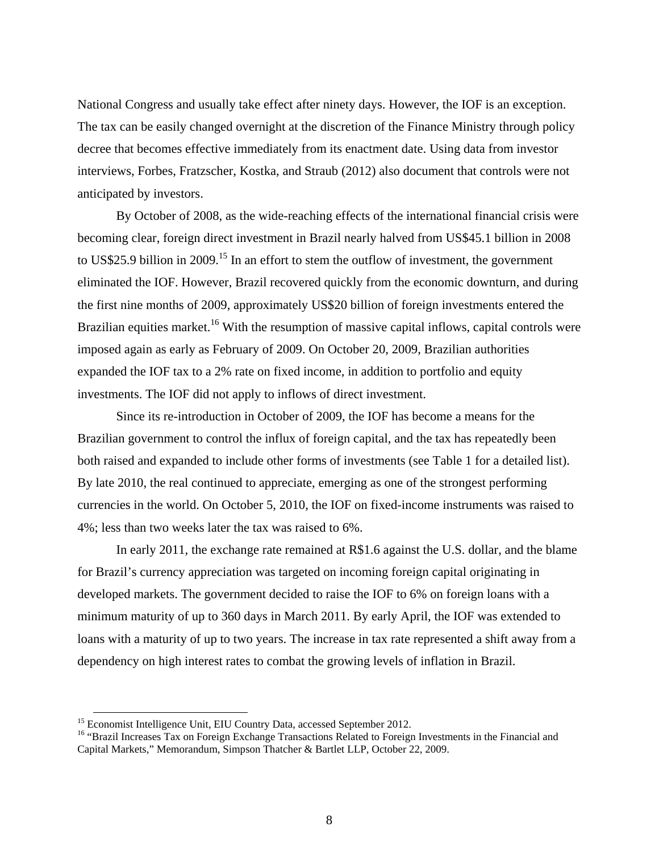National Congress and usually take effect after ninety days. However, the IOF is an exception. The tax can be easily changed overnight at the discretion of the Finance Ministry through policy decree that becomes effective immediately from its enactment date. Using data from investor interviews, Forbes, Fratzscher, Kostka, and Straub (2012) also document that controls were not anticipated by investors.

By October of 2008, as the wide-reaching effects of the international financial crisis were becoming clear, foreign direct investment in Brazil nearly halved from US\$45.1 billion in 2008 to US\$25.9 billion in 2009.<sup>15</sup> In an effort to stem the outflow of investment, the government eliminated the IOF. However, Brazil recovered quickly from the economic downturn, and during the first nine months of 2009, approximately US\$20 billion of foreign investments entered the Brazilian equities market.<sup>16</sup> With the resumption of massive capital inflows, capital controls were imposed again as early as February of 2009. On October 20, 2009, Brazilian authorities expanded the IOF tax to a 2% rate on fixed income, in addition to portfolio and equity investments. The IOF did not apply to inflows of direct investment.

Since its re-introduction in October of 2009, the IOF has become a means for the Brazilian government to control the influx of foreign capital, and the tax has repeatedly been both raised and expanded to include other forms of investments (see Table 1 for a detailed list). By late 2010, the real continued to appreciate, emerging as one of the strongest performing currencies in the world. On October 5, 2010, the IOF on fixed-income instruments was raised to 4%; less than two weeks later the tax was raised to 6%.

In early 2011, the exchange rate remained at R\$1.6 against the U.S. dollar, and the blame for Brazil's currency appreciation was targeted on incoming foreign capital originating in developed markets. The government decided to raise the IOF to 6% on foreign loans with a minimum maturity of up to 360 days in March 2011. By early April, the IOF was extended to loans with a maturity of up to two years. The increase in tax rate represented a shift away from a dependency on high interest rates to combat the growing levels of inflation in Brazil.

<sup>&</sup>lt;sup>15</sup> Economist Intelligence Unit, EIU Country Data, accessed September 2012.<br><sup>16</sup> "Brazil Increases Tax on Foreign Exchange Transactions Related to Foreign Investments in the Financial and Capital Markets," Memorandum, Simpson Thatcher & Bartlet LLP, October 22, 2009.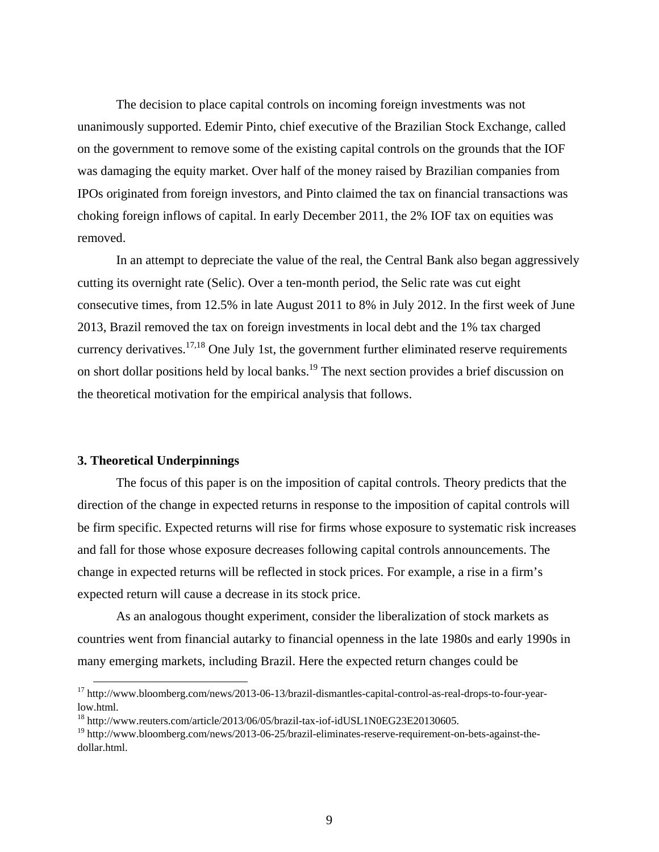The decision to place capital controls on incoming foreign investments was not unanimously supported. Edemir Pinto, chief executive of the Brazilian Stock Exchange, called on the government to remove some of the existing capital controls on the grounds that the IOF was damaging the equity market. Over half of the money raised by Brazilian companies from IPOs originated from foreign investors, and Pinto claimed the tax on financial transactions was choking foreign inflows of capital. In early December 2011, the 2% IOF tax on equities was removed.

In an attempt to depreciate the value of the real, the Central Bank also began aggressively cutting its overnight rate (Selic). Over a ten-month period, the Selic rate was cut eight consecutive times, from 12.5% in late August 2011 to 8% in July 2012. In the first week of June 2013, Brazil removed the tax on foreign investments in local debt and the 1% tax charged currency derivatives.<sup>17,18</sup> One July 1st, the government further eliminated reserve requirements on short dollar positions held by local banks.<sup>19</sup> The next section provides a brief discussion on the theoretical motivation for the empirical analysis that follows.

#### **3. Theoretical Underpinnings**

The focus of this paper is on the imposition of capital controls. Theory predicts that the direction of the change in expected returns in response to the imposition of capital controls will be firm specific. Expected returns will rise for firms whose exposure to systematic risk increases and fall for those whose exposure decreases following capital controls announcements. The change in expected returns will be reflected in stock prices. For example, a rise in a firm's expected return will cause a decrease in its stock price.

As an analogous thought experiment, consider the liberalization of stock markets as countries went from financial autarky to financial openness in the late 1980s and early 1990s in many emerging markets, including Brazil. Here the expected return changes could be

<sup>&</sup>lt;sup>17</sup> http://www.bloomberg.com/news/2013-06-13/brazil-dismantles-capital-control-as-real-drops-to-four-yearlow.html.

<sup>&</sup>lt;sup>18</sup> http://www.reuters.com/article/2013/06/05/brazil-tax-iof-idUSL1N0EG23E20130605.

<sup>&</sup>lt;sup>19</sup> http://www.bloomberg.com/news/2013-06-25/brazil-eliminates-reserve-requirement-on-bets-against-thedollar.html.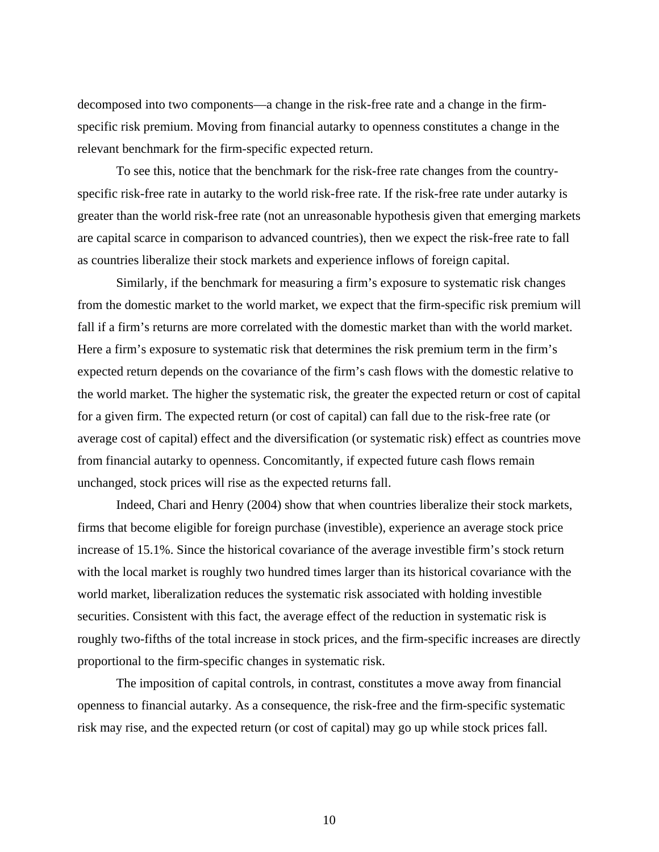decomposed into two components—a change in the risk-free rate and a change in the firmspecific risk premium. Moving from financial autarky to openness constitutes a change in the relevant benchmark for the firm-specific expected return.

To see this, notice that the benchmark for the risk-free rate changes from the countryspecific risk-free rate in autarky to the world risk-free rate. If the risk-free rate under autarky is greater than the world risk-free rate (not an unreasonable hypothesis given that emerging markets are capital scarce in comparison to advanced countries), then we expect the risk-free rate to fall as countries liberalize their stock markets and experience inflows of foreign capital.

Similarly, if the benchmark for measuring a firm's exposure to systematic risk changes from the domestic market to the world market, we expect that the firm-specific risk premium will fall if a firm's returns are more correlated with the domestic market than with the world market. Here a firm's exposure to systematic risk that determines the risk premium term in the firm's expected return depends on the covariance of the firm's cash flows with the domestic relative to the world market. The higher the systematic risk, the greater the expected return or cost of capital for a given firm. The expected return (or cost of capital) can fall due to the risk-free rate (or average cost of capital) effect and the diversification (or systematic risk) effect as countries move from financial autarky to openness. Concomitantly, if expected future cash flows remain unchanged, stock prices will rise as the expected returns fall.

Indeed, Chari and Henry (2004) show that when countries liberalize their stock markets, firms that become eligible for foreign purchase (investible), experience an average stock price increase of 15.1%. Since the historical covariance of the average investible firm's stock return with the local market is roughly two hundred times larger than its historical covariance with the world market, liberalization reduces the systematic risk associated with holding investible securities. Consistent with this fact, the average effect of the reduction in systematic risk is roughly two-fifths of the total increase in stock prices, and the firm-specific increases are directly proportional to the firm-specific changes in systematic risk.

The imposition of capital controls, in contrast, constitutes a move away from financial openness to financial autarky. As a consequence, the risk-free and the firm-specific systematic risk may rise, and the expected return (or cost of capital) may go up while stock prices fall.

10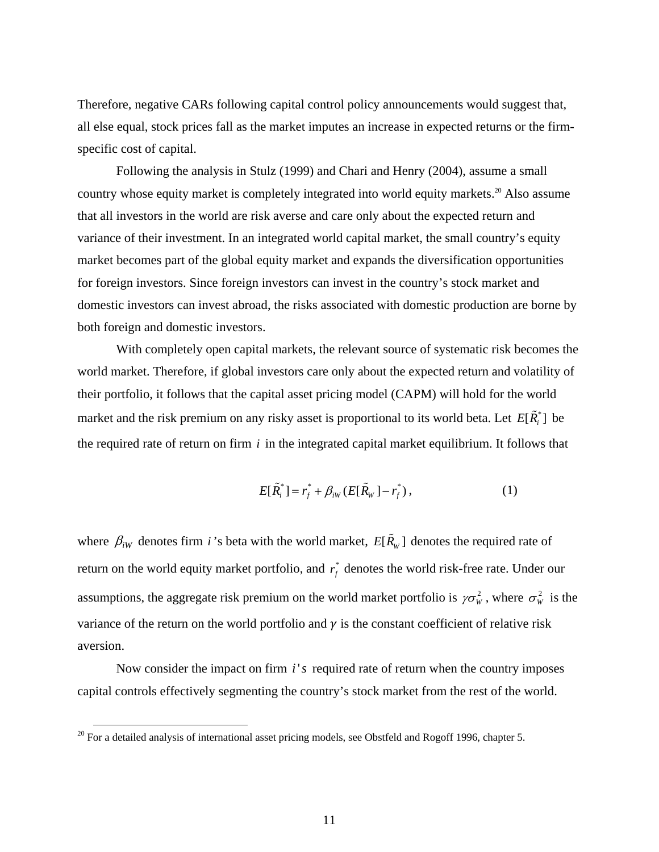Therefore, negative CARs following capital control policy announcements would suggest that, all else equal, stock prices fall as the market imputes an increase in expected returns or the firmspecific cost of capital.

Following the analysis in Stulz (1999) and Chari and Henry (2004), assume a small country whose equity market is completely integrated into world equity markets.<sup>20</sup> Also assume that all investors in the world are risk averse and care only about the expected return and variance of their investment. In an integrated world capital market, the small country's equity market becomes part of the global equity market and expands the diversification opportunities for foreign investors. Since foreign investors can invest in the country's stock market and domestic investors can invest abroad, the risks associated with domestic production are borne by both foreign and domestic investors.

With completely open capital markets, the relevant source of systematic risk becomes the world market. Therefore, if global investors care only about the expected return and volatility of their portfolio, it follows that the capital asset pricing model (CAPM) will hold for the world market and the risk premium on any risky asset is proportional to its world beta. Let  $E[\tilde{R}_i^*]$  be the required rate of return on firm *i* in the integrated capital market equilibrium. It follows that

$$
E[\tilde{R}_i^*] = r_f^* + \beta_{iW} (E[\tilde{R}_W] - r_f^*), \qquad (1)
$$

where  $\beta_{iW}$  denotes firm *i*'s beta with the world market,  $E[\tilde{R}_W]$  denotes the required rate of return on the world equity market portfolio, and  $r_f^*$  denotes the world risk-free rate. Under our assumptions, the aggregate risk premium on the world market portfolio is  $\gamma \sigma_w^2$ , where  $\sigma_w^2$  is the variance of the return on the world portfolio and  $\gamma$  is the constant coefficient of relative risk aversion.

Now consider the impact on firm *i's* required rate of return when the country imposes capital controls effectively segmenting the country's stock market from the rest of the world.

-

 $^{20}$  For a detailed analysis of international asset pricing models, see Obstfeld and Rogoff 1996, chapter 5.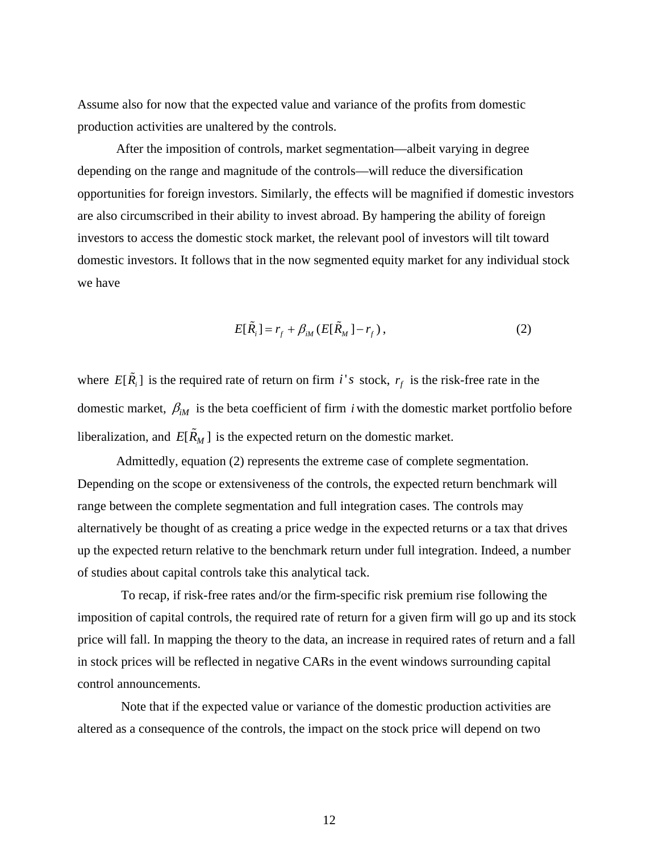Assume also for now that the expected value and variance of the profits from domestic production activities are unaltered by the controls.

After the imposition of controls, market segmentation—albeit varying in degree depending on the range and magnitude of the controls—will reduce the diversification opportunities for foreign investors. Similarly, the effects will be magnified if domestic investors are also circumscribed in their ability to invest abroad. By hampering the ability of foreign investors to access the domestic stock market, the relevant pool of investors will tilt toward domestic investors. It follows that in the now segmented equity market for any individual stock we have

$$
E[\tilde{R}_i] = r_f + \beta_{iM} (E[\tilde{R}_M] - r_f), \qquad (2)
$$

where  $E[\tilde{R}_i]$  is the required rate of return on firm *i's* stock,  $r_f$  is the risk-free rate in the domestic market,  $\beta_{iM}$  is the beta coefficient of firm *i* with the domestic market portfolio before liberalization, and  $E[\tilde{R}_M]$  is the expected return on the domestic market.

Admittedly, equation (2) represents the extreme case of complete segmentation. Depending on the scope or extensiveness of the controls, the expected return benchmark will range between the complete segmentation and full integration cases. The controls may alternatively be thought of as creating a price wedge in the expected returns or a tax that drives up the expected return relative to the benchmark return under full integration. Indeed, a number of studies about capital controls take this analytical tack.

To recap, if risk-free rates and/or the firm-specific risk premium rise following the imposition of capital controls, the required rate of return for a given firm will go up and its stock price will fall. In mapping the theory to the data, an increase in required rates of return and a fall in stock prices will be reflected in negative CARs in the event windows surrounding capital control announcements.

Note that if the expected value or variance of the domestic production activities are altered as a consequence of the controls, the impact on the stock price will depend on two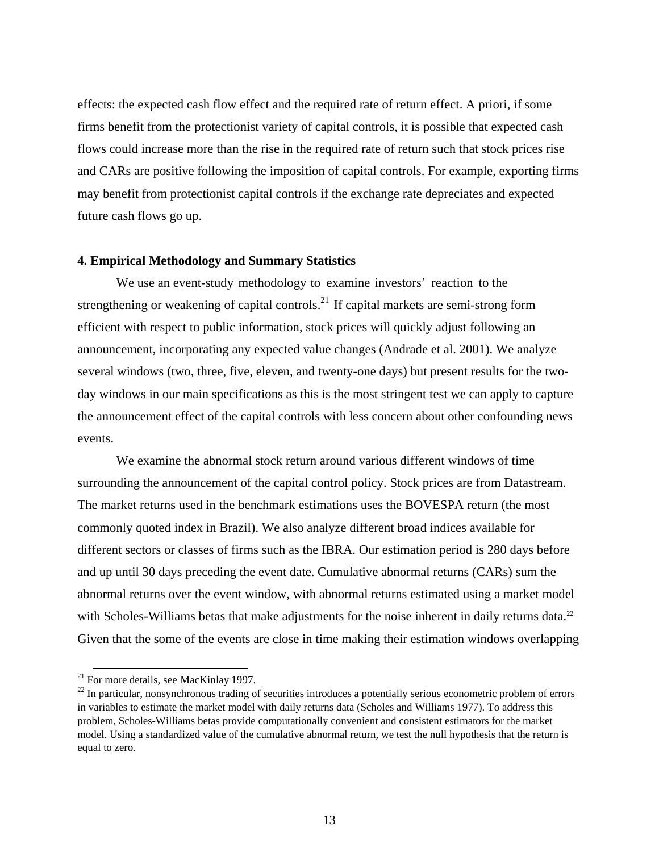effects: the expected cash flow effect and the required rate of return effect. A priori, if some firms benefit from the protectionist variety of capital controls, it is possible that expected cash flows could increase more than the rise in the required rate of return such that stock prices rise and CARs are positive following the imposition of capital controls. For example, exporting firms may benefit from protectionist capital controls if the exchange rate depreciates and expected future cash flows go up.

# **4. Empirical Methodology and Summary Statistics**

We use an event-study methodology to examine investors' reaction to the strengthening or weakening of capital controls.<sup>21</sup> If capital markets are semi-strong form efficient with respect to public information, stock prices will quickly adjust following an announcement, incorporating any expected value changes (Andrade et al. 2001). We analyze several windows (two, three, five, eleven, and twenty-one days) but present results for the twoday windows in our main specifications as this is the most stringent test we can apply to capture the announcement effect of the capital controls with less concern about other confounding news events.

We examine the abnormal stock return around various different windows of time surrounding the announcement of the capital control policy. Stock prices are from Datastream. The market returns used in the benchmark estimations uses the BOVESPA return (the most commonly quoted index in Brazil). We also analyze different broad indices available for different sectors or classes of firms such as the IBRA. Our estimation period is 280 days before and up until 30 days preceding the event date. Cumulative abnormal returns (CARs) sum the abnormal returns over the event window, with abnormal returns estimated using a market model with Scholes-Williams betas that make adjustments for the noise inherent in daily returns data.<sup>22</sup> Given that the some of the events are close in time making their estimation windows overlapping

<sup>&</sup>lt;sup>21</sup> For more details, see MacKinlay 1997.

<sup>&</sup>lt;sup>22</sup> In particular, nonsynchronous trading of securities introduces a potentially serious econometric problem of errors in variables to estimate the market model with daily returns data (Scholes and Williams 1977). To address this problem, Scholes-Williams betas provide computationally convenient and consistent estimators for the market model. Using a standardized value of the cumulative abnormal return, we test the null hypothesis that the return is equal to zero.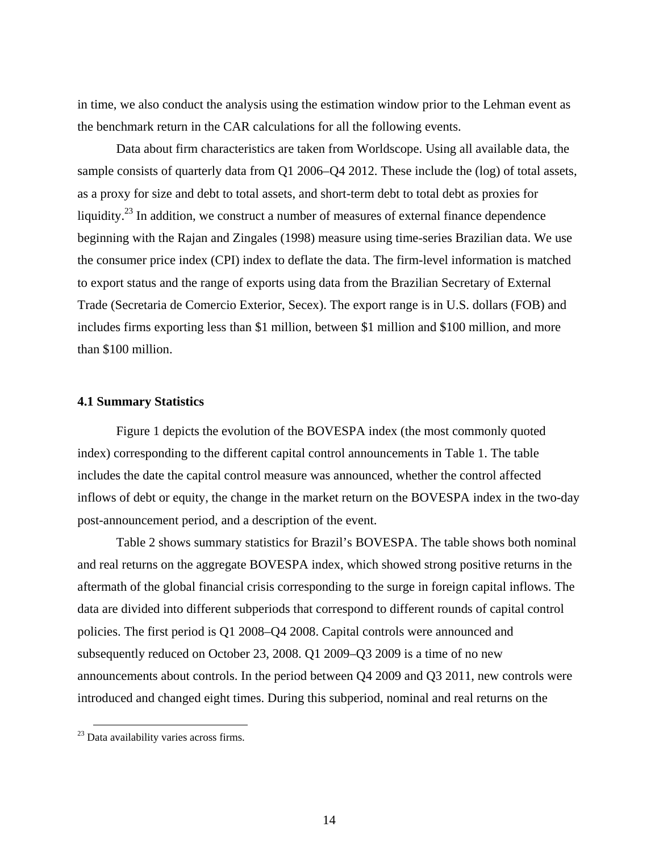in time, we also conduct the analysis using the estimation window prior to the Lehman event as the benchmark return in the CAR calculations for all the following events.

Data about firm characteristics are taken from Worldscope. Using all available data, the sample consists of quarterly data from Q1 2006–Q4 2012. These include the (log) of total assets, as a proxy for size and debt to total assets, and short-term debt to total debt as proxies for liquidity.<sup>23</sup> In addition, we construct a number of measures of external finance dependence beginning with the Rajan and Zingales (1998) measure using time-series Brazilian data. We use the consumer price index (CPI) index to deflate the data. The firm-level information is matched to export status and the range of exports using data from the Brazilian Secretary of External Trade (Secretaria de Comercio Exterior, Secex). The export range is in U.S. dollars (FOB) and includes firms exporting less than \$1 million, between \$1 million and \$100 million, and more than \$100 million.

## **4.1 Summary Statistics**

Figure 1 depicts the evolution of the BOVESPA index (the most commonly quoted index) corresponding to the different capital control announcements in Table 1. The table includes the date the capital control measure was announced, whether the control affected inflows of debt or equity, the change in the market return on the BOVESPA index in the two-day post-announcement period, and a description of the event.

Table 2 shows summary statistics for Brazil's BOVESPA. The table shows both nominal and real returns on the aggregate BOVESPA index, which showed strong positive returns in the aftermath of the global financial crisis corresponding to the surge in foreign capital inflows. The data are divided into different subperiods that correspond to different rounds of capital control policies. The first period is Q1 2008–Q4 2008. Capital controls were announced and subsequently reduced on October 23, 2008. Q1 2009–Q3 2009 is a time of no new announcements about controls. In the period between Q4 2009 and Q3 2011, new controls were introduced and changed eight times. During this subperiod, nominal and real returns on the

-

<sup>&</sup>lt;sup>23</sup> Data availability varies across firms.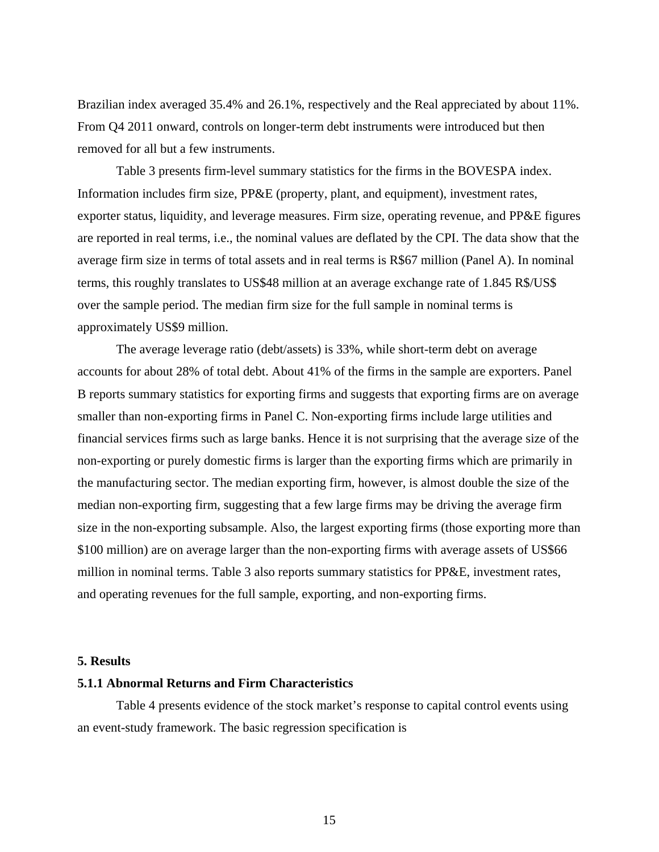Brazilian index averaged 35.4% and 26.1%, respectively and the Real appreciated by about 11%. From Q4 2011 onward, controls on longer-term debt instruments were introduced but then removed for all but a few instruments.

Table 3 presents firm-level summary statistics for the firms in the BOVESPA index. Information includes firm size, PP&E (property, plant, and equipment), investment rates, exporter status, liquidity, and leverage measures. Firm size, operating revenue, and PP&E figures are reported in real terms, i.e., the nominal values are deflated by the CPI. The data show that the average firm size in terms of total assets and in real terms is R\$67 million (Panel A). In nominal terms, this roughly translates to US\$48 million at an average exchange rate of 1.845 R\$/US\$ over the sample period. The median firm size for the full sample in nominal terms is approximately US\$9 million.

The average leverage ratio (debt/assets) is 33%, while short-term debt on average accounts for about 28% of total debt. About 41% of the firms in the sample are exporters. Panel B reports summary statistics for exporting firms and suggests that exporting firms are on average smaller than non-exporting firms in Panel C. Non-exporting firms include large utilities and financial services firms such as large banks. Hence it is not surprising that the average size of the non-exporting or purely domestic firms is larger than the exporting firms which are primarily in the manufacturing sector. The median exporting firm, however, is almost double the size of the median non-exporting firm, suggesting that a few large firms may be driving the average firm size in the non-exporting subsample. Also, the largest exporting firms (those exporting more than \$100 million) are on average larger than the non-exporting firms with average assets of US\$66 million in nominal terms. Table 3 also reports summary statistics for PP&E, investment rates, and operating revenues for the full sample, exporting, and non-exporting firms.

### **5. Results**

## **5.1.1 Abnormal Returns and Firm Characteristics**

Table 4 presents evidence of the stock market's response to capital control events using an event-study framework. The basic regression specification is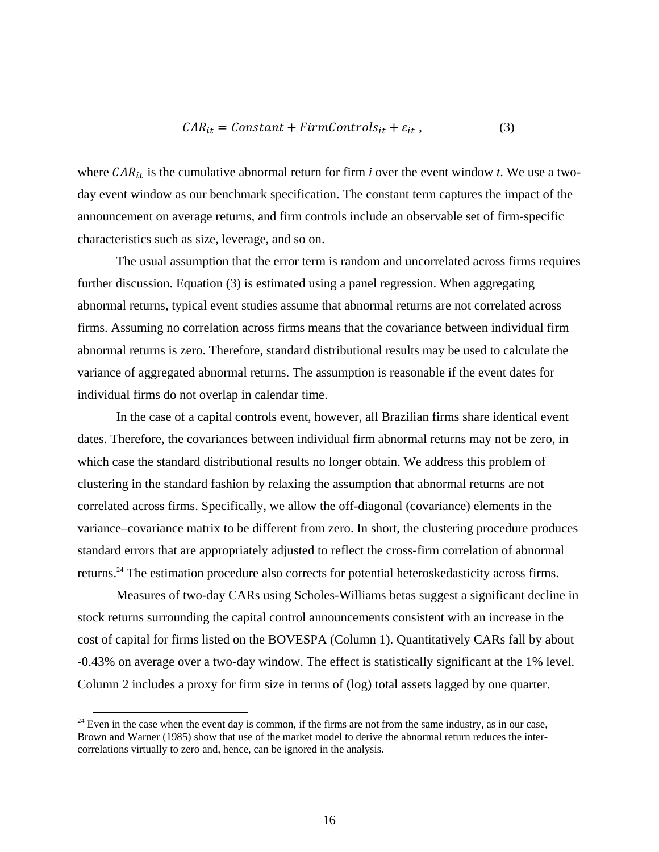$$
CAR_{it} = Constant + FirmControls_{it} + \varepsilon_{it} , \qquad (3)
$$

where  $CAR_{it}$  is the cumulative abnormal return for firm *i* over the event window *t*. We use a twoday event window as our benchmark specification. The constant term captures the impact of the announcement on average returns, and firm controls include an observable set of firm-specific characteristics such as size, leverage, and so on.

The usual assumption that the error term is random and uncorrelated across firms requires further discussion. Equation (3) is estimated using a panel regression. When aggregating abnormal returns, typical event studies assume that abnormal returns are not correlated across firms. Assuming no correlation across firms means that the covariance between individual firm abnormal returns is zero. Therefore, standard distributional results may be used to calculate the variance of aggregated abnormal returns. The assumption is reasonable if the event dates for individual firms do not overlap in calendar time.

In the case of a capital controls event, however, all Brazilian firms share identical event dates. Therefore, the covariances between individual firm abnormal returns may not be zero, in which case the standard distributional results no longer obtain. We address this problem of clustering in the standard fashion by relaxing the assumption that abnormal returns are not correlated across firms. Specifically, we allow the off-diagonal (covariance) elements in the variance–covariance matrix to be different from zero. In short, the clustering procedure produces standard errors that are appropriately adjusted to reflect the cross-firm correlation of abnormal returns.24 The estimation procedure also corrects for potential heteroskedasticity across firms.

Measures of two-day CARs using Scholes-Williams betas suggest a significant decline in stock returns surrounding the capital control announcements consistent with an increase in the cost of capital for firms listed on the BOVESPA (Column 1). Quantitatively CARs fall by about -0.43% on average over a two-day window. The effect is statistically significant at the 1% level. Column 2 includes a proxy for firm size in terms of (log) total assets lagged by one quarter.

 $24$  Even in the case when the event day is common, if the firms are not from the same industry, as in our case, Brown and Warner (1985) show that use of the market model to derive the abnormal return reduces the intercorrelations virtually to zero and, hence, can be ignored in the analysis.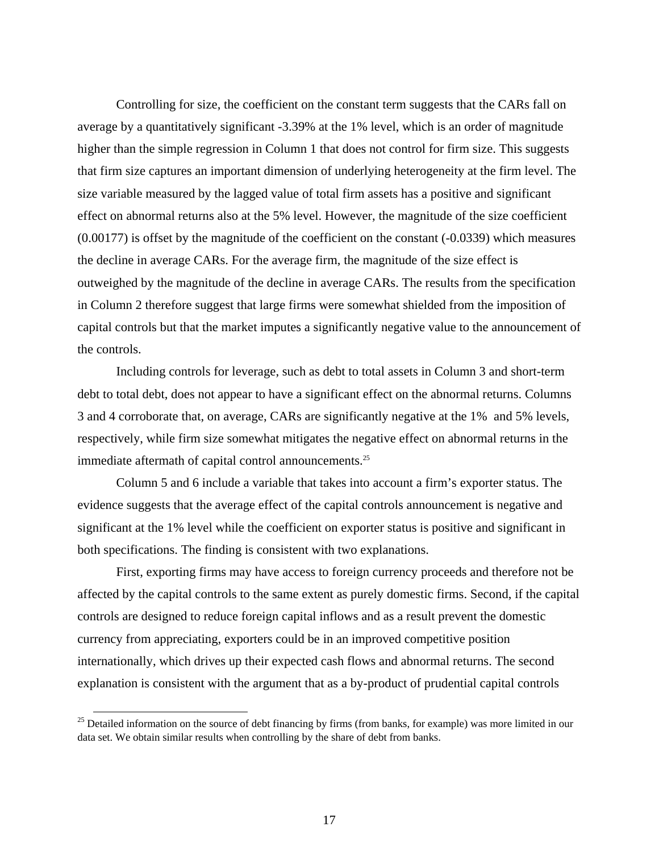Controlling for size, the coefficient on the constant term suggests that the CARs fall on average by a quantitatively significant -3.39% at the 1% level, which is an order of magnitude higher than the simple regression in Column 1 that does not control for firm size. This suggests that firm size captures an important dimension of underlying heterogeneity at the firm level. The size variable measured by the lagged value of total firm assets has a positive and significant effect on abnormal returns also at the 5% level. However, the magnitude of the size coefficient (0.00177) is offset by the magnitude of the coefficient on the constant (-0.0339) which measures the decline in average CARs. For the average firm, the magnitude of the size effect is outweighed by the magnitude of the decline in average CARs. The results from the specification in Column 2 therefore suggest that large firms were somewhat shielded from the imposition of capital controls but that the market imputes a significantly negative value to the announcement of the controls.

Including controls for leverage, such as debt to total assets in Column 3 and short-term debt to total debt, does not appear to have a significant effect on the abnormal returns. Columns 3 and 4 corroborate that, on average, CARs are significantly negative at the 1% and 5% levels, respectively, while firm size somewhat mitigates the negative effect on abnormal returns in the immediate aftermath of capital control announcements.<sup>25</sup>

Column 5 and 6 include a variable that takes into account a firm's exporter status. The evidence suggests that the average effect of the capital controls announcement is negative and significant at the 1% level while the coefficient on exporter status is positive and significant in both specifications. The finding is consistent with two explanations.

First, exporting firms may have access to foreign currency proceeds and therefore not be affected by the capital controls to the same extent as purely domestic firms. Second, if the capital controls are designed to reduce foreign capital inflows and as a result prevent the domestic currency from appreciating, exporters could be in an improved competitive position internationally, which drives up their expected cash flows and abnormal returns. The second explanation is consistent with the argument that as a by-product of prudential capital controls

<sup>&</sup>lt;sup>25</sup> Detailed information on the source of debt financing by firms (from banks, for example) was more limited in our data set. We obtain similar results when controlling by the share of debt from banks.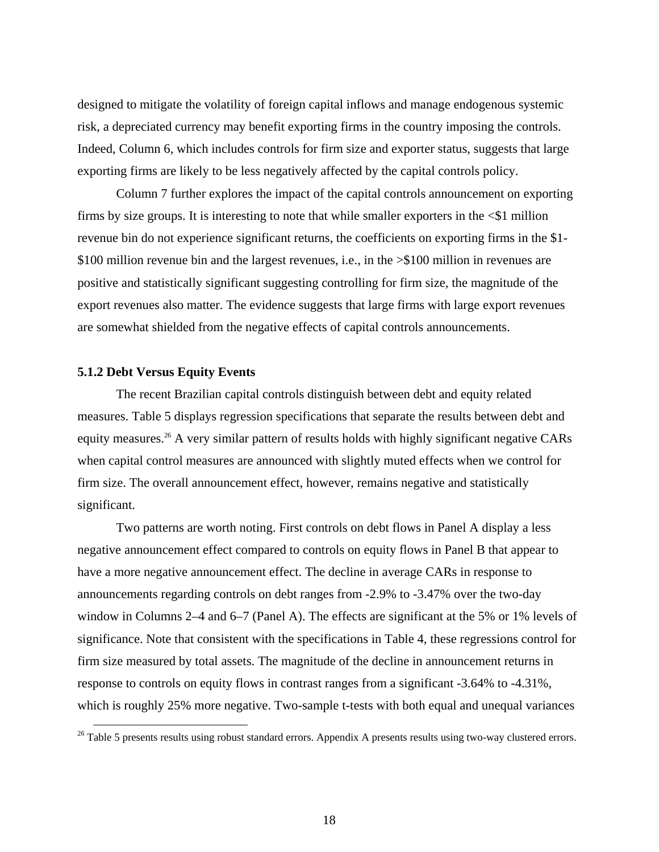designed to mitigate the volatility of foreign capital inflows and manage endogenous systemic risk, a depreciated currency may benefit exporting firms in the country imposing the controls. Indeed, Column 6, which includes controls for firm size and exporter status, suggests that large exporting firms are likely to be less negatively affected by the capital controls policy.

Column 7 further explores the impact of the capital controls announcement on exporting firms by size groups. It is interesting to note that while smaller exporters in the  $\leq$ \$1 million revenue bin do not experience significant returns, the coefficients on exporting firms in the \$1- \$100 million revenue bin and the largest revenues, i.e., in the  $\geq$ \$100 million in revenues are positive and statistically significant suggesting controlling for firm size, the magnitude of the export revenues also matter. The evidence suggests that large firms with large export revenues are somewhat shielded from the negative effects of capital controls announcements.

### **5.1.2 Debt Versus Equity Events**

-

The recent Brazilian capital controls distinguish between debt and equity related measures. Table 5 displays regression specifications that separate the results between debt and equity measures.<sup>26</sup> A very similar pattern of results holds with highly significant negative CARs when capital control measures are announced with slightly muted effects when we control for firm size. The overall announcement effect, however, remains negative and statistically significant.

Two patterns are worth noting. First controls on debt flows in Panel A display a less negative announcement effect compared to controls on equity flows in Panel B that appear to have a more negative announcement effect. The decline in average CARs in response to announcements regarding controls on debt ranges from -2.9% to -3.47% over the two-day window in Columns 2–4 and 6–7 (Panel A). The effects are significant at the 5% or 1% levels of significance. Note that consistent with the specifications in Table 4, these regressions control for firm size measured by total assets. The magnitude of the decline in announcement returns in response to controls on equity flows in contrast ranges from a significant -3.64% to -4.31%, which is roughly 25% more negative. Two-sample t-tests with both equal and unequal variances

<sup>&</sup>lt;sup>26</sup> Table 5 presents results using robust standard errors. Appendix A presents results using two-way clustered errors.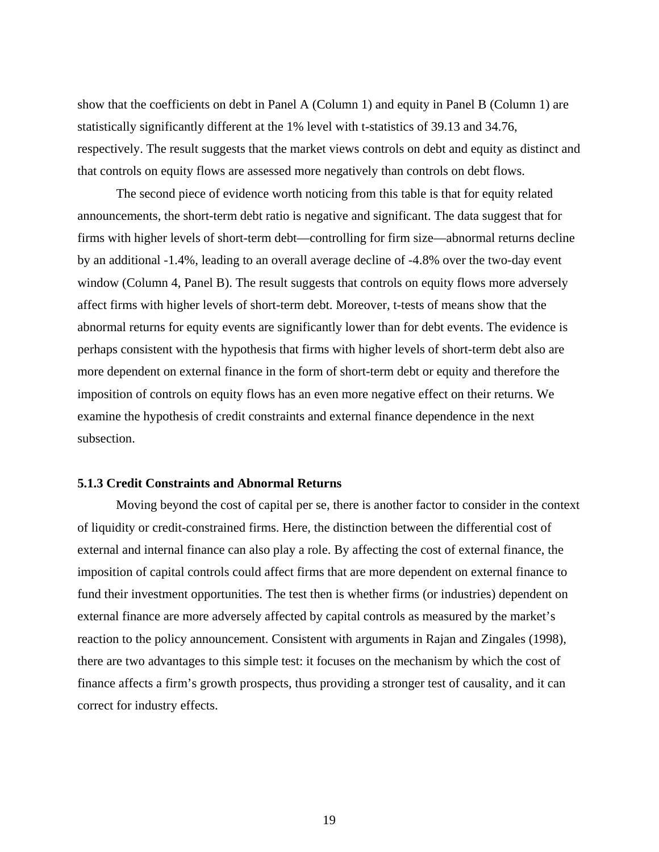show that the coefficients on debt in Panel A (Column 1) and equity in Panel B (Column 1) are statistically significantly different at the 1% level with t-statistics of 39.13 and 34.76, respectively. The result suggests that the market views controls on debt and equity as distinct and that controls on equity flows are assessed more negatively than controls on debt flows.

The second piece of evidence worth noticing from this table is that for equity related announcements, the short-term debt ratio is negative and significant. The data suggest that for firms with higher levels of short-term debt—controlling for firm size—abnormal returns decline by an additional -1.4%, leading to an overall average decline of -4.8% over the two-day event window (Column 4, Panel B). The result suggests that controls on equity flows more adversely affect firms with higher levels of short-term debt. Moreover, t-tests of means show that the abnormal returns for equity events are significantly lower than for debt events. The evidence is perhaps consistent with the hypothesis that firms with higher levels of short-term debt also are more dependent on external finance in the form of short-term debt or equity and therefore the imposition of controls on equity flows has an even more negative effect on their returns. We examine the hypothesis of credit constraints and external finance dependence in the next subsection.

## **5.1.3 Credit Constraints and Abnormal Returns**

Moving beyond the cost of capital per se, there is another factor to consider in the context of liquidity or credit-constrained firms. Here, the distinction between the differential cost of external and internal finance can also play a role. By affecting the cost of external finance, the imposition of capital controls could affect firms that are more dependent on external finance to fund their investment opportunities. The test then is whether firms (or industries) dependent on external finance are more adversely affected by capital controls as measured by the market's reaction to the policy announcement. Consistent with arguments in Rajan and Zingales (1998), there are two advantages to this simple test: it focuses on the mechanism by which the cost of finance affects a firm's growth prospects, thus providing a stronger test of causality, and it can correct for industry effects.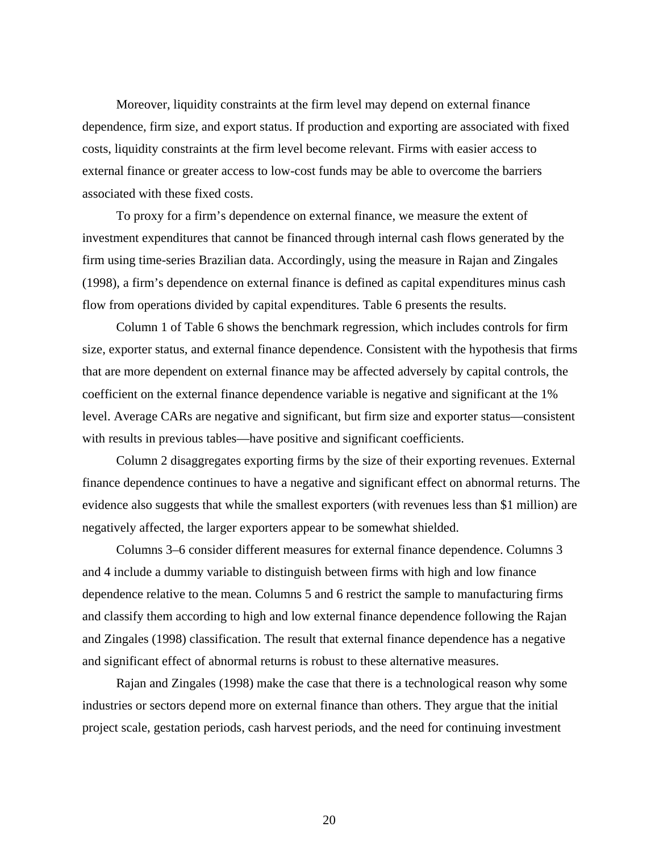Moreover, liquidity constraints at the firm level may depend on external finance dependence, firm size, and export status. If production and exporting are associated with fixed costs, liquidity constraints at the firm level become relevant. Firms with easier access to external finance or greater access to low-cost funds may be able to overcome the barriers associated with these fixed costs.

To proxy for a firm's dependence on external finance, we measure the extent of investment expenditures that cannot be financed through internal cash flows generated by the firm using time-series Brazilian data. Accordingly, using the measure in Rajan and Zingales (1998), a firm's dependence on external finance is defined as capital expenditures minus cash flow from operations divided by capital expenditures. Table 6 presents the results.

Column 1 of Table 6 shows the benchmark regression, which includes controls for firm size, exporter status, and external finance dependence. Consistent with the hypothesis that firms that are more dependent on external finance may be affected adversely by capital controls, the coefficient on the external finance dependence variable is negative and significant at the 1% level. Average CARs are negative and significant, but firm size and exporter status—consistent with results in previous tables—have positive and significant coefficients.

Column 2 disaggregates exporting firms by the size of their exporting revenues. External finance dependence continues to have a negative and significant effect on abnormal returns. The evidence also suggests that while the smallest exporters (with revenues less than \$1 million) are negatively affected, the larger exporters appear to be somewhat shielded.

Columns 3–6 consider different measures for external finance dependence. Columns 3 and 4 include a dummy variable to distinguish between firms with high and low finance dependence relative to the mean. Columns 5 and 6 restrict the sample to manufacturing firms and classify them according to high and low external finance dependence following the Rajan and Zingales (1998) classification. The result that external finance dependence has a negative and significant effect of abnormal returns is robust to these alternative measures.

Rajan and Zingales (1998) make the case that there is a technological reason why some industries or sectors depend more on external finance than others. They argue that the initial project scale, gestation periods, cash harvest periods, and the need for continuing investment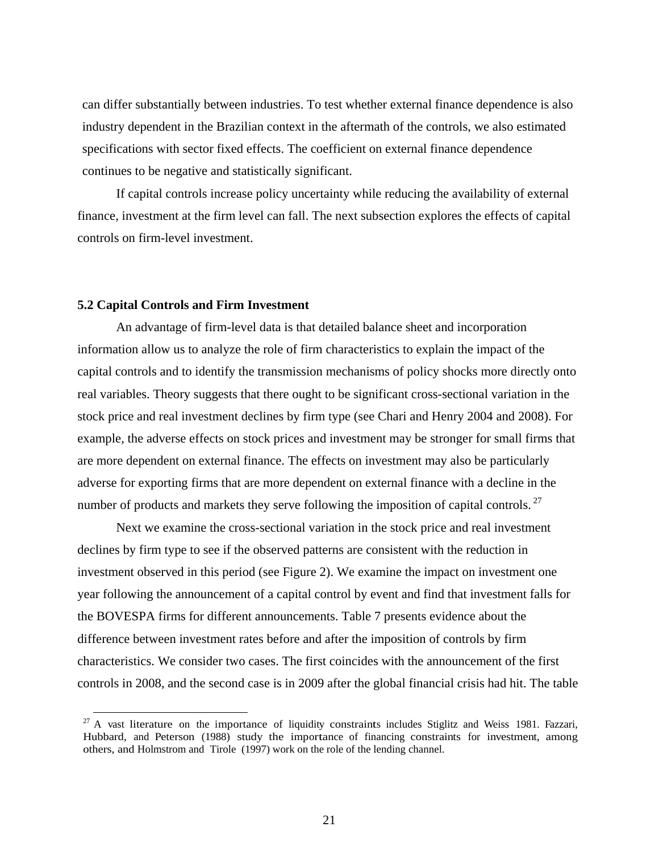can differ substantially between industries. To test whether external finance dependence is also industry dependent in the Brazilian context in the aftermath of the controls, we also estimated specifications with sector fixed effects. The coefficient on external finance dependence continues to be negative and statistically significant.

If capital controls increase policy uncertainty while reducing the availability of external finance, investment at the firm level can fall. The next subsection explores the effects of capital controls on firm-level investment.

## **5.2 Capital Controls and Firm Investment**

An advantage of firm-level data is that detailed balance sheet and incorporation information allow us to analyze the role of firm characteristics to explain the impact of the capital controls and to identify the transmission mechanisms of policy shocks more directly onto real variables. Theory suggests that there ought to be significant cross-sectional variation in the stock price and real investment declines by firm type (see Chari and Henry 2004 and 2008). For example, the adverse effects on stock prices and investment may be stronger for small firms that are more dependent on external finance. The effects on investment may also be particularly adverse for exporting firms that are more dependent on external finance with a decline in the number of products and markets they serve following the imposition of capital controls.<sup>27</sup>

Next we examine the cross-sectional variation in the stock price and real investment declines by firm type to see if the observed patterns are consistent with the reduction in investment observed in this period (see Figure 2). We examine the impact on investment one year following the announcement of a capital control by event and find that investment falls for the BOVESPA firms for different announcements. Table 7 presents evidence about the difference between investment rates before and after the imposition of controls by firm characteristics. We consider two cases. The first coincides with the announcement of the first controls in 2008, and the second case is in 2009 after the global financial crisis had hit. The table

 $27$  A vast literature on the importance of liquidity constraints includes Stiglitz and Weiss 1981. Fazzari, Hubbard, and Peterson (1988) study the importance of financing constraints for investment, among others, and Holmstrom and Tirole (1997) work on the role of the lending channel.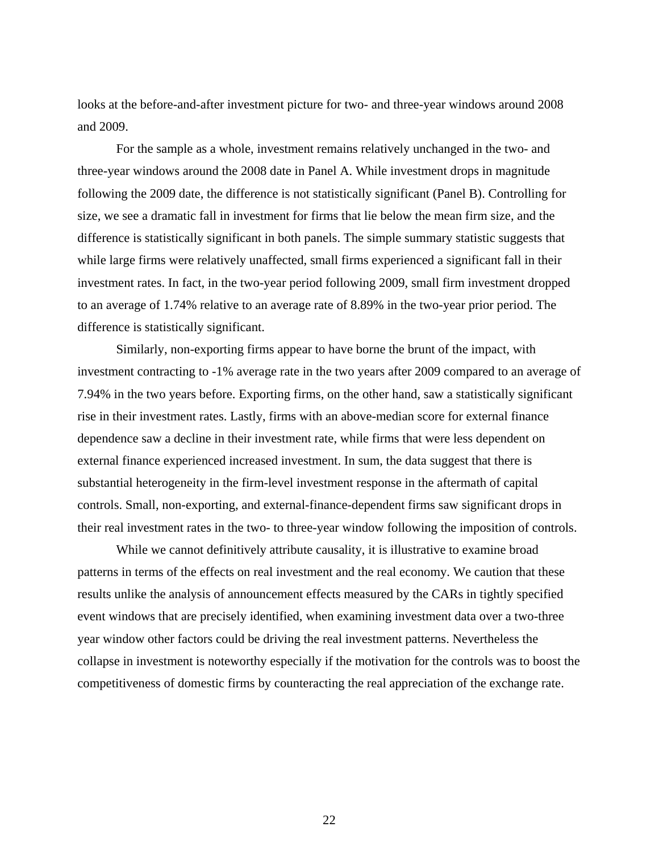looks at the before-and-after investment picture for two- and three-year windows around 2008 and 2009.

For the sample as a whole, investment remains relatively unchanged in the two- and three-year windows around the 2008 date in Panel A. While investment drops in magnitude following the 2009 date, the difference is not statistically significant (Panel B). Controlling for size, we see a dramatic fall in investment for firms that lie below the mean firm size, and the difference is statistically significant in both panels. The simple summary statistic suggests that while large firms were relatively unaffected, small firms experienced a significant fall in their investment rates. In fact, in the two-year period following 2009, small firm investment dropped to an average of 1.74% relative to an average rate of 8.89% in the two-year prior period. The difference is statistically significant.

Similarly, non-exporting firms appear to have borne the brunt of the impact, with investment contracting to -1% average rate in the two years after 2009 compared to an average of 7.94% in the two years before. Exporting firms, on the other hand, saw a statistically significant rise in their investment rates. Lastly, firms with an above-median score for external finance dependence saw a decline in their investment rate, while firms that were less dependent on external finance experienced increased investment. In sum, the data suggest that there is substantial heterogeneity in the firm-level investment response in the aftermath of capital controls. Small, non-exporting, and external-finance-dependent firms saw significant drops in their real investment rates in the two- to three-year window following the imposition of controls.

While we cannot definitively attribute causality, it is illustrative to examine broad patterns in terms of the effects on real investment and the real economy. We caution that these results unlike the analysis of announcement effects measured by the CARs in tightly specified event windows that are precisely identified, when examining investment data over a two-three year window other factors could be driving the real investment patterns. Nevertheless the collapse in investment is noteworthy especially if the motivation for the controls was to boost the competitiveness of domestic firms by counteracting the real appreciation of the exchange rate.

22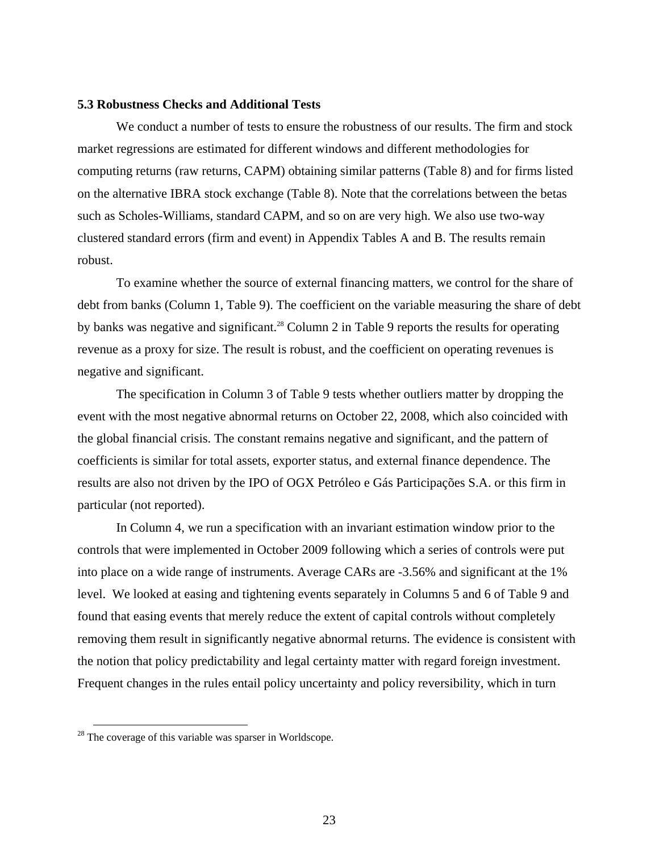#### **5.3 Robustness Checks and Additional Tests**

We conduct a number of tests to ensure the robustness of our results. The firm and stock market regressions are estimated for different windows and different methodologies for computing returns (raw returns, CAPM) obtaining similar patterns (Table 8) and for firms listed on the alternative IBRA stock exchange (Table 8). Note that the correlations between the betas such as Scholes-Williams, standard CAPM, and so on are very high. We also use two-way clustered standard errors (firm and event) in Appendix Tables A and B. The results remain robust.

To examine whether the source of external financing matters, we control for the share of debt from banks (Column 1, Table 9). The coefficient on the variable measuring the share of debt by banks was negative and significant.<sup>28</sup> Column 2 in Table 9 reports the results for operating revenue as a proxy for size. The result is robust, and the coefficient on operating revenues is negative and significant.

The specification in Column 3 of Table 9 tests whether outliers matter by dropping the event with the most negative abnormal returns on October 22, 2008, which also coincided with the global financial crisis. The constant remains negative and significant, and the pattern of coefficients is similar for total assets, exporter status, and external finance dependence. The results are also not driven by the IPO of OGX Petróleo e Gás Participações S.A. or this firm in particular (not reported).

In Column 4, we run a specification with an invariant estimation window prior to the controls that were implemented in October 2009 following which a series of controls were put into place on a wide range of instruments. Average CARs are -3.56% and significant at the 1% level. We looked at easing and tightening events separately in Columns 5 and 6 of Table 9 and found that easing events that merely reduce the extent of capital controls without completely removing them result in significantly negative abnormal returns. The evidence is consistent with the notion that policy predictability and legal certainty matter with regard foreign investment. Frequent changes in the rules entail policy uncertainty and policy reversibility, which in turn

-

 $28$  The coverage of this variable was sparser in Worldscope.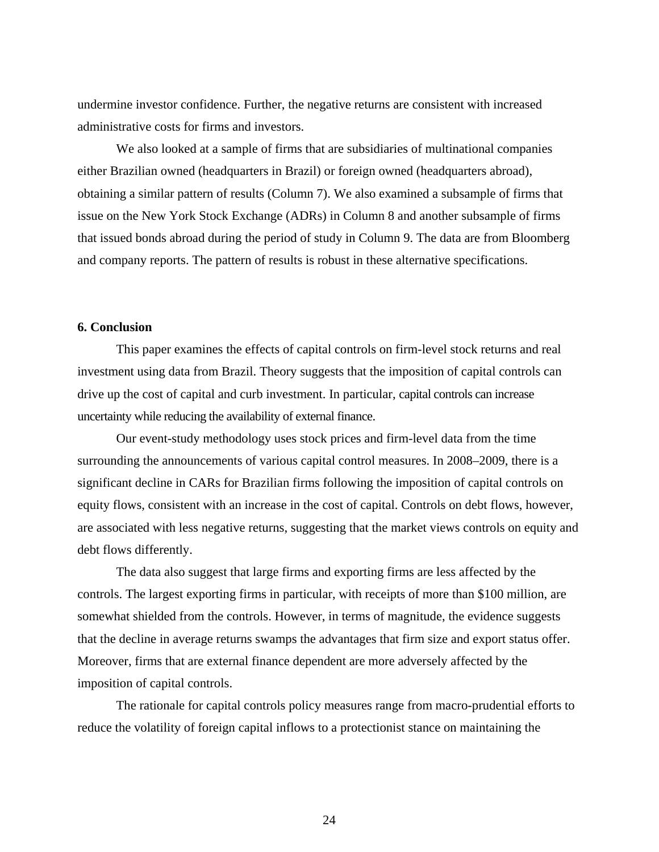undermine investor confidence. Further, the negative returns are consistent with increased administrative costs for firms and investors.

We also looked at a sample of firms that are subsidiaries of multinational companies either Brazilian owned (headquarters in Brazil) or foreign owned (headquarters abroad), obtaining a similar pattern of results (Column 7). We also examined a subsample of firms that issue on the New York Stock Exchange (ADRs) in Column 8 and another subsample of firms that issued bonds abroad during the period of study in Column 9. The data are from Bloomberg and company reports. The pattern of results is robust in these alternative specifications.

# **6. Conclusion**

This paper examines the effects of capital controls on firm-level stock returns and real investment using data from Brazil. Theory suggests that the imposition of capital controls can drive up the cost of capital and curb investment. In particular, capital controls can increase uncertainty while reducing the availability of external finance.

Our event-study methodology uses stock prices and firm-level data from the time surrounding the announcements of various capital control measures. In 2008–2009, there is a significant decline in CARs for Brazilian firms following the imposition of capital controls on equity flows, consistent with an increase in the cost of capital. Controls on debt flows, however, are associated with less negative returns, suggesting that the market views controls on equity and debt flows differently.

The data also suggest that large firms and exporting firms are less affected by the controls. The largest exporting firms in particular, with receipts of more than \$100 million, are somewhat shielded from the controls. However, in terms of magnitude, the evidence suggests that the decline in average returns swamps the advantages that firm size and export status offer. Moreover, firms that are external finance dependent are more adversely affected by the imposition of capital controls.

The rationale for capital controls policy measures range from macro-prudential efforts to reduce the volatility of foreign capital inflows to a protectionist stance on maintaining the

24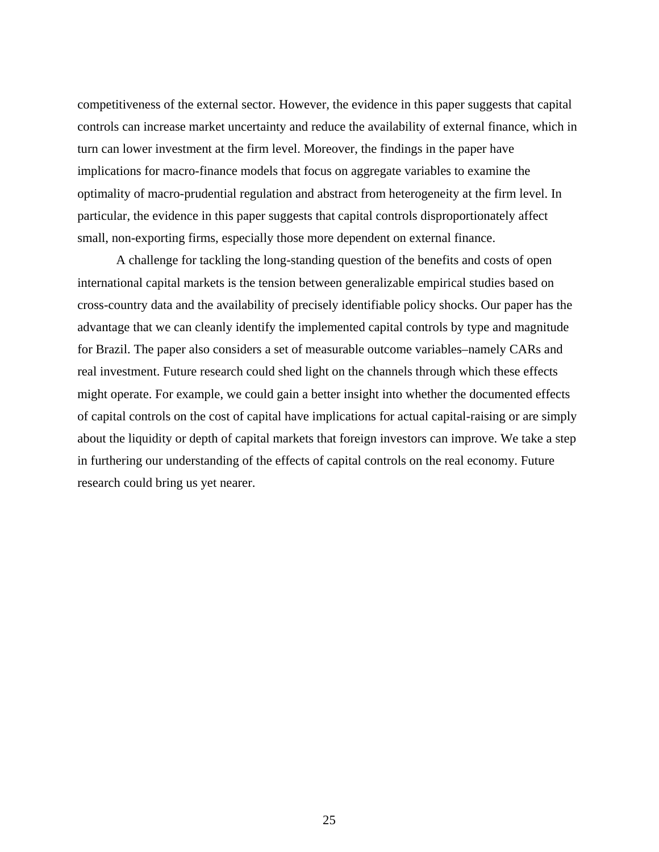competitiveness of the external sector. However, the evidence in this paper suggests that capital controls can increase market uncertainty and reduce the availability of external finance, which in turn can lower investment at the firm level. Moreover, the findings in the paper have implications for macro-finance models that focus on aggregate variables to examine the optimality of macro-prudential regulation and abstract from heterogeneity at the firm level. In particular, the evidence in this paper suggests that capital controls disproportionately affect small, non-exporting firms, especially those more dependent on external finance.

A challenge for tackling the long-standing question of the benefits and costs of open international capital markets is the tension between generalizable empirical studies based on cross-country data and the availability of precisely identifiable policy shocks. Our paper has the advantage that we can cleanly identify the implemented capital controls by type and magnitude for Brazil. The paper also considers a set of measurable outcome variables–namely CARs and real investment. Future research could shed light on the channels through which these effects might operate. For example, we could gain a better insight into whether the documented effects of capital controls on the cost of capital have implications for actual capital-raising or are simply about the liquidity or depth of capital markets that foreign investors can improve. We take a step in furthering our understanding of the effects of capital controls on the real economy. Future research could bring us yet nearer.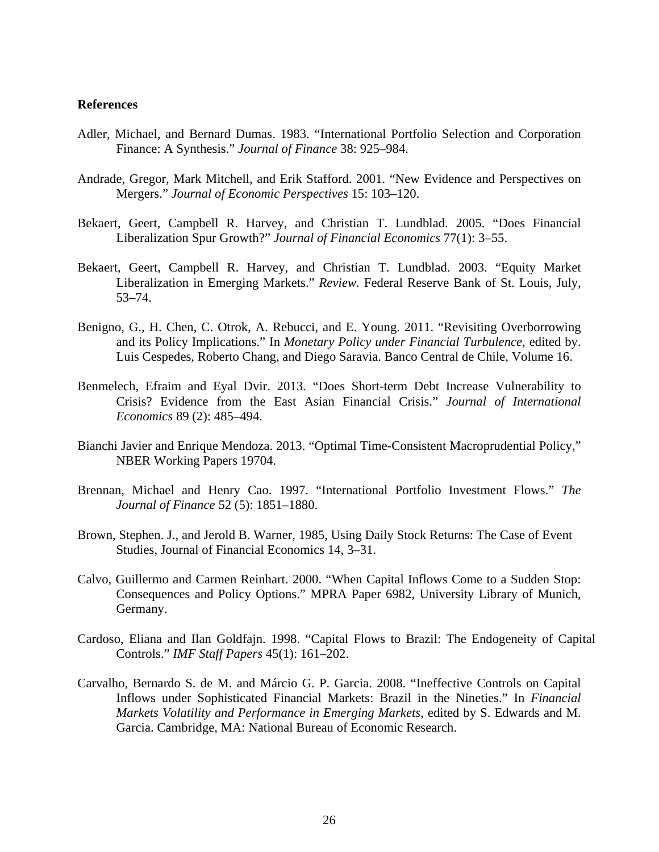#### **References**

- Adler, Michael, and Bernard Dumas. 1983. "International Portfolio Selection and Corporation Finance: A Synthesis." *Journal of Finance* 38: 925–984.
- Andrade, Gregor, Mark Mitchell, and Erik Stafford. 2001. "New Evidence and Perspectives on Mergers." *Journal of Economic Perspectives* 15: 103–120.
- Bekaert, Geert, Campbell R. Harvey, and Christian T. Lundblad. 2005. "Does Financial Liberalization Spur Growth?" *Journal of Financial Economics* 77(1): 3–55.
- Bekaert, Geert, Campbell R. Harvey, and Christian T. Lundblad. 2003. "Equity Market Liberalization in Emerging Markets." *Review.* Federal Reserve Bank of St. Louis, July, 53–74.
- Benigno, G., H. Chen, C. Otrok, A. Rebucci, and E. Young. 2011. "Revisiting Overborrowing and its Policy Implications." In *Monetary Policy under Financial Turbulence*, edited by. Luis Cespedes, Roberto Chang, and Diego Saravia. Banco Central de Chile, Volume 16.
- Benmelech, Efraim and Eyal Dvir. 2013. "Does Short-term Debt Increase Vulnerability to Crisis? Evidence from the East Asian Financial Crisis." *Journal of International Economics* 89 (2): 485–494.
- Bianchi Javier and Enrique Mendoza. 2013. "Optimal Time-Consistent Macroprudential Policy," NBER Working Papers 19704.
- Brennan, Michael and Henry Cao. 1997. "International Portfolio Investment Flows." *The Journal of Finance* 52 (5): 1851–1880.
- Brown, Stephen. J., and Jerold B. Warner, 1985, Using Daily Stock Returns: The Case of Event Studies, Journal of Financial Economics 14, 3–31.
- Calvo, Guillermo and Carmen Reinhart. 2000. "When Capital Inflows Come to a Sudden Stop: Consequences and Policy Options." MPRA Paper 6982, University Library of Munich, Germany.
- Cardoso, Eliana and Ilan Goldfajn. 1998. "Capital Flows to Brazil: The Endogeneity of Capital Controls." *IMF Staff Papers* 45(1): 161–202.
- Carvalho, Bernardo S. de M. and Márcio G. P. Garcia. 2008. "Ineffective Controls on Capital Inflows under Sophisticated Financial Markets: Brazil in the Nineties." In *Financial Markets Volatility and Performance in Emerging Markets*, edited by S. Edwards and M. Garcia. Cambridge, MA: National Bureau of Economic Research.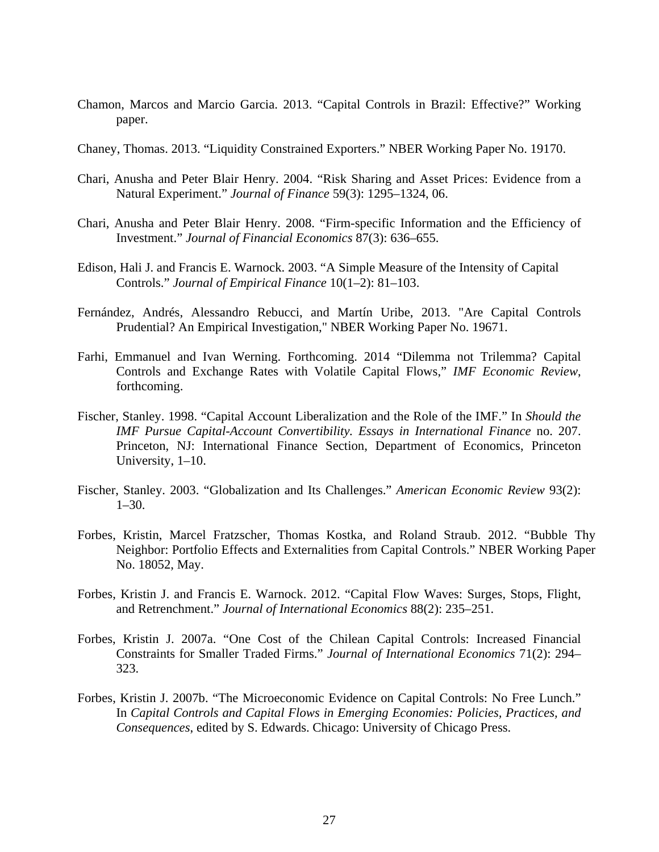- Chamon, Marcos and Marcio Garcia. 2013. "Capital Controls in Brazil: Effective?" Working paper.
- Chaney, Thomas. 2013. "Liquidity Constrained Exporters." NBER Working Paper No. 19170.
- Chari, Anusha and Peter Blair Henry. 2004. "Risk Sharing and Asset Prices: Evidence from a Natural Experiment." *Journal of Finance* 59(3): 1295–1324, 06.
- Chari, Anusha and Peter Blair Henry. 2008. "Firm-specific Information and the Efficiency of Investment." *Journal of Financial Economics* 87(3): 636–655.
- Edison, Hali J. and Francis E. Warnock. 2003. "A Simple Measure of the Intensity of Capital Controls." *Journal of Empirical Finance* 10(1–2): 81–103.
- Fernández, Andrés, Alessandro Rebucci, and Martín Uribe, 2013. "Are Capital Controls Prudential? An Empirical Investigation," NBER Working Paper No. 19671.
- Farhi, Emmanuel and Ivan Werning. Forthcoming. 2014 "Dilemma not Trilemma? Capital Controls and Exchange Rates with Volatile Capital Flows," *IMF Economic Review*, forthcoming.
- Fischer, Stanley. 1998. "Capital Account Liberalization and the Role of the IMF." In *Should the IMF Pursue Capital-Account Convertibility. Essays in International Finance* no. 207. Princeton, NJ: International Finance Section, Department of Economics, Princeton University, 1–10.
- Fischer, Stanley. 2003. "Globalization and Its Challenges." *American Economic Review* 93(2):  $1-30.$
- Forbes, Kristin, Marcel Fratzscher, Thomas Kostka, and Roland Straub. 2012. "Bubble Thy Neighbor: Portfolio Effects and Externalities from Capital Controls." NBER Working Paper No. 18052, May.
- Forbes, Kristin J. and Francis E. Warnock. 2012. "Capital Flow Waves: Surges, Stops, Flight, and Retrenchment." *Journal of International Economics* 88(2): 235–251.
- Forbes, Kristin J. 2007a. "One Cost of the Chilean Capital Controls: Increased Financial Constraints for Smaller Traded Firms." *Journal of International Economics* 71(2): 294– 323.
- Forbes, Kristin J. 2007b. "The Microeconomic Evidence on Capital Controls: No Free Lunch." In *Capital Controls and Capital Flows in Emerging Economies: Policies, Practices, and Consequences*, edited by S. Edwards. Chicago: University of Chicago Press.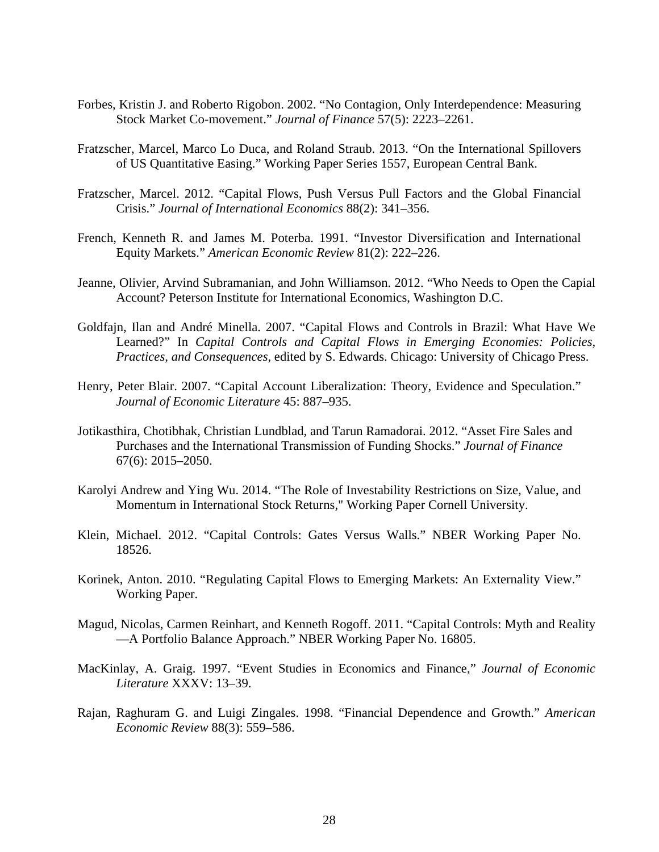- Forbes, Kristin J. and Roberto Rigobon. 2002. "No Contagion, Only Interdependence: Measuring Stock Market Co-movement." *Journal of Finance* 57(5): 2223–2261.
- Fratzscher, Marcel, Marco Lo Duca, and Roland Straub. 2013. "On the International Spillovers of US Quantitative Easing." Working Paper Series 1557, European Central Bank.
- Fratzscher, Marcel. 2012. "Capital Flows, Push Versus Pull Factors and the Global Financial Crisis." *Journal of International Economics* 88(2): 341–356.
- French, Kenneth R. and James M. Poterba. 1991. "Investor Diversification and International Equity Markets." *American Economic Review* 81(2): 222–226.
- Jeanne, Olivier, Arvind Subramanian, and John Williamson. 2012. "Who Needs to Open the Capial Account? Peterson Institute for International Economics, Washington D.C.
- Goldfajn, Ilan and André Minella. 2007. "Capital Flows and Controls in Brazil: What Have We Learned?" In *Capital Controls and Capital Flows in Emerging Economies: Policies, Practices, and Consequences*, edited by S. Edwards. Chicago: University of Chicago Press.
- Henry, Peter Blair. 2007. "Capital Account Liberalization: Theory, Evidence and Speculation." *Journal of Economic Literature* 45: 887–935.
- Jotikasthira, Chotibhak, Christian Lundblad, and Tarun Ramadorai. 2012. "Asset Fire Sales and Purchases and the International Transmission of Funding Shocks." *Journal of Finance* 67(6): 2015–2050.
- Karolyi Andrew and Ying Wu. 2014. "The Role of Investability Restrictions on Size, Value, and Momentum in International Stock Returns," Working Paper Cornell University.
- Klein, Michael. 2012. "Capital Controls: Gates Versus Walls." NBER Working Paper No. 18526.
- Korinek, Anton. 2010. "Regulating Capital Flows to Emerging Markets: An Externality View." Working Paper.
- Magud, Nicolas, Carmen Reinhart, and Kenneth Rogoff. 2011. "Capital Controls: Myth and Reality —A Portfolio Balance Approach." NBER Working Paper No. 16805.
- MacKinlay, A. Graig. 1997. "Event Studies in Economics and Finance," *Journal of Economic Literature* XXXV: 13–39.
- Rajan, Raghuram G. and Luigi Zingales. 1998. "Financial Dependence and Growth." *American Economic Review* 88(3): 559–586.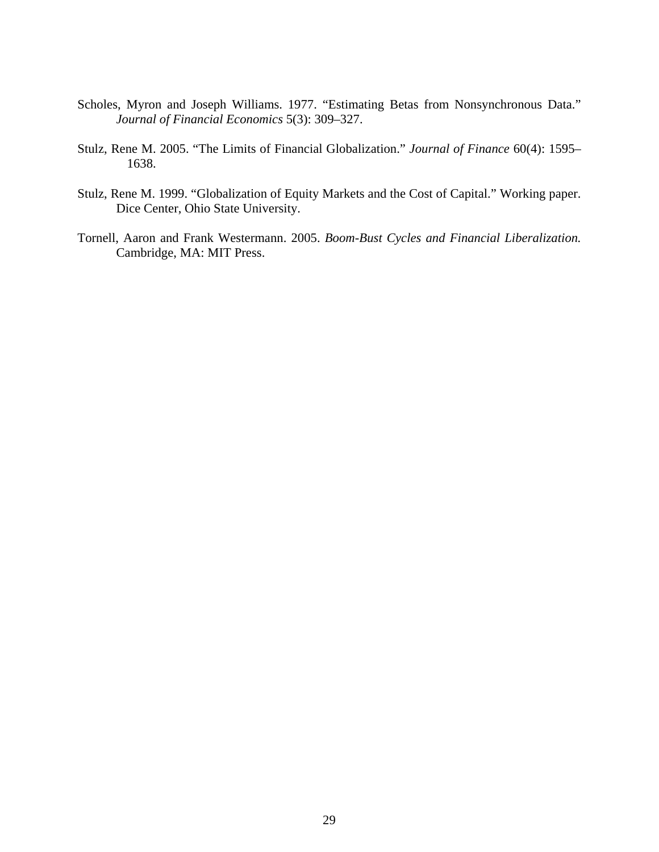- Scholes, Myron and Joseph Williams. 1977. "Estimating Betas from Nonsynchronous Data." *Journal of Financial Economics* 5(3): 309–327.
- Stulz, Rene M. 2005. "The Limits of Financial Globalization." *Journal of Finance* 60(4): 1595– 1638.
- Stulz, Rene M. 1999. "Globalization of Equity Markets and the Cost of Capital." Working paper. Dice Center, Ohio State University.
- Tornell, Aaron and Frank Westermann. 2005. *Boom-Bust Cycles and Financial Liberalization.* Cambridge, MA: MIT Press.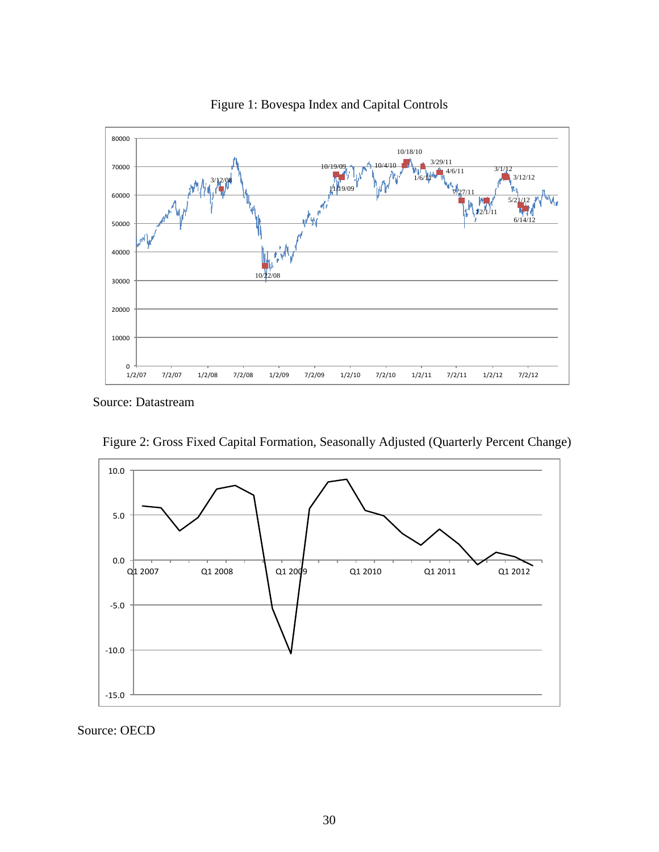

Figure 1: Bovespa Index and Capital Controls

Source: Datastream



Figure 2: Gross Fixed Capital Formation, Seasonally Adjusted (Quarterly Percent Change)

Source: OECD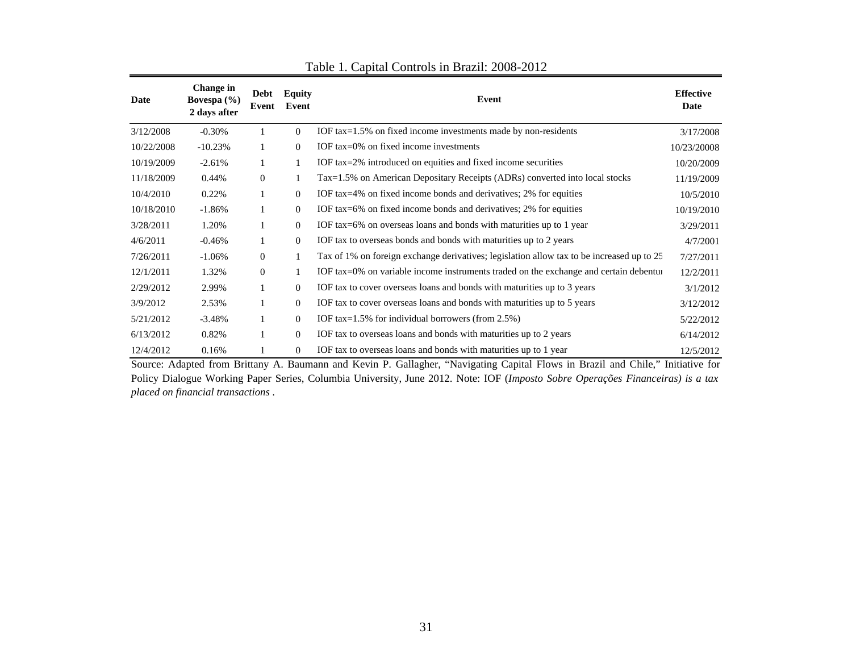| Date       | Change in<br>Bovespa $(\% )$<br>2 days after | Equity<br>Debt<br>Event<br>Event<br>Event |                | <b>Effective</b><br>Date                                                                  |             |
|------------|----------------------------------------------|-------------------------------------------|----------------|-------------------------------------------------------------------------------------------|-------------|
| 3/12/2008  | $-0.30%$                                     | 1                                         | $\Omega$       | IOF tax=1.5% on fixed income investments made by non-residents                            | 3/17/2008   |
| 10/22/2008 | $-10.23%$                                    | 1                                         | $\Omega$       | IOF tax=0% on fixed income investments                                                    | 10/23/20008 |
| 10/19/2009 | $-2.61%$                                     | 1                                         | 1              | IOF tax=2% introduced on equities and fixed income securities                             | 10/20/2009  |
| 11/18/2009 | 0.44%                                        | $\overline{0}$                            | 1              | Tax=1.5% on American Depositary Receipts (ADRs) converted into local stocks               | 11/19/2009  |
| 10/4/2010  | 0.22%                                        | 1                                         | $\overline{0}$ | IOF tax=4% on fixed income bonds and derivatives; 2% for equities                         | 10/5/2010   |
| 10/18/2010 | $-1.86%$                                     | 1                                         | $\Omega$       | IOF tax=6% on fixed income bonds and derivatives; 2% for equities                         | 10/19/2010  |
| 3/28/2011  | 1.20%                                        | 1                                         | $\overline{0}$ | IOF tax=6% on overseas loans and bonds with maturities up to 1 year                       | 3/29/2011   |
| 4/6/2011   | $-0.46%$                                     | 1                                         | $\overline{0}$ | IOF tax to overseas bonds and bonds with maturities up to 2 years                         | 4/7/2001    |
| 7/26/2011  | $-1.06\%$                                    | $\overline{0}$                            | 1              | Tax of 1% on foreign exchange derivatives; legislation allow tax to be increased up to 25 | 7/27/2011   |
| 12/1/2011  | 1.32%                                        | $\overline{0}$                            | 1              | IOF tax=0% on variable income instruments traded on the exchange and certain debenture    | 12/2/2011   |
| 2/29/2012  | 2.99%                                        | 1                                         | $\Omega$       | IOF tax to cover overseas loans and bonds with maturities up to 3 years                   | 3/1/2012    |
| 3/9/2012   | 2.53%                                        | 1                                         | $\Omega$       | IOF tax to cover overseas loans and bonds with maturities up to 5 years                   | 3/12/2012   |
| 5/21/2012  | $-3.48%$                                     | 1                                         | $\Omega$       | IOF tax= $1.5\%$ for individual borrowers (from 2.5%)                                     | 5/22/2012   |
| 6/13/2012  | 0.82%                                        | 1                                         | $\overline{0}$ | IOF tax to overseas loans and bonds with maturities up to 2 years                         | 6/14/2012   |
| 12/4/2012  | 0.16%                                        | 1                                         | $\overline{0}$ | IOF tax to overseas loans and bonds with maturities up to 1 year                          | 12/5/2012   |

| Table 1. Capital Controls in Brazil: 2008-2012 |
|------------------------------------------------|
|------------------------------------------------|

Source: Adapted from Brittany A. Baumann and Kevin P. Gallagher, "Navigating Capital Flows in Brazil and Chile," Initiative for Policy Dialogue Working Paper Series, Columbia University, June 2012. Note: IOF (*Imposto Sobre Operações Financeiras) is <sup>a</sup> tax placed on financial transactions* .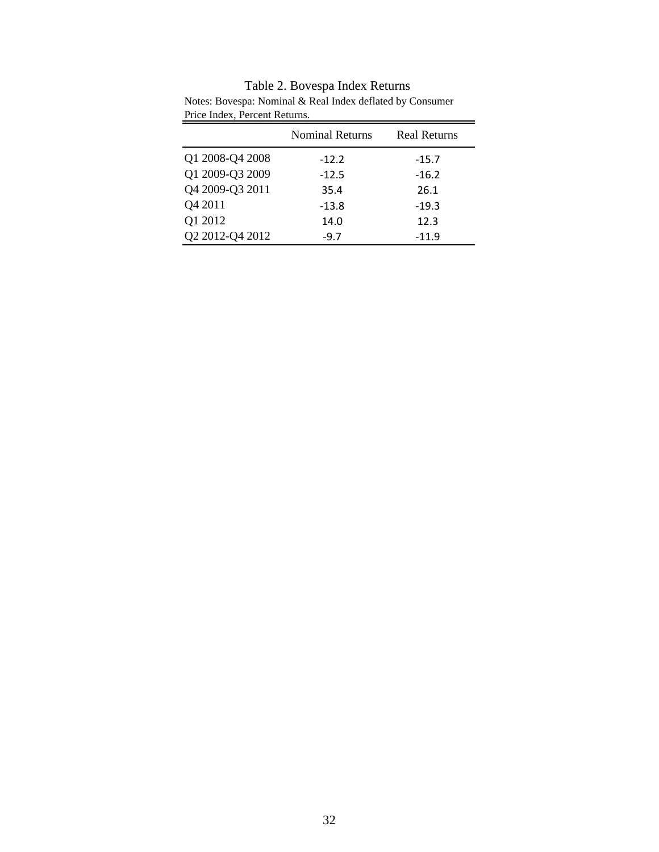|                 | <b>Nominal Returns</b> | <b>Real Returns</b> |
|-----------------|------------------------|---------------------|
| Q1 2008-Q4 2008 | $-12.2$                | $-15.7$             |
| Q1 2009-Q3 2009 | $-12.5$                | $-16.2$             |
| Q4 2009-Q3 2011 | 35.4                   | 26.1                |
| Q4 2011         | $-13.8$                | $-19.3$             |
| Q1 2012         | 14.0                   | 12.3                |
| Q2 2012-Q4 2012 | $-9.7$                 | $-11.9$             |

Table 2. Bovespa Index Returns Notes: Bovespa: Nominal & Real Index deflated by Consumer Price Index, Percent Returns.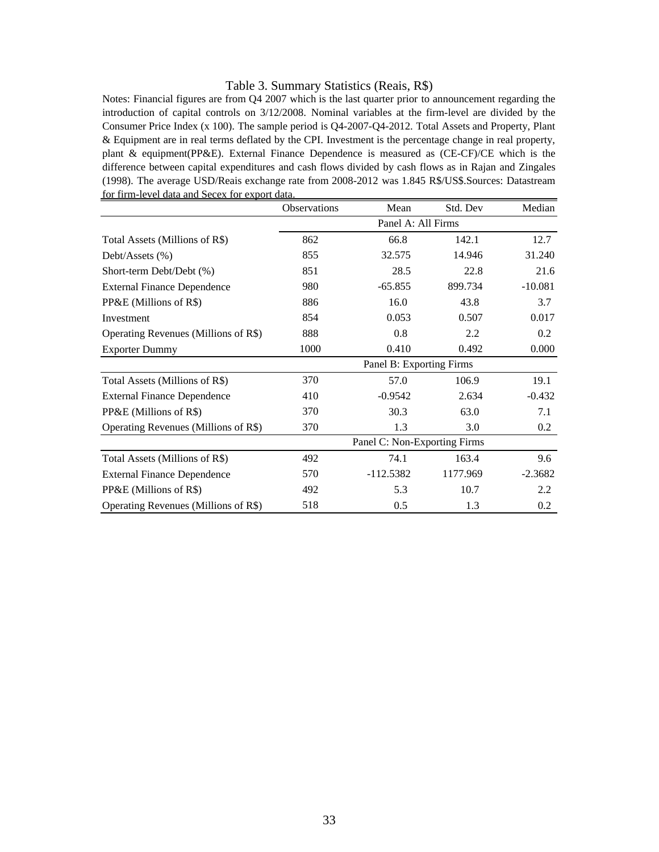#### Table 3. Summary Statistics (Reais, R\$)

Notes: Financial figures are from Q4 2007 which is the last quarter prior to announcement regarding the introduction of capital controls on 3/12/2008. Nominal variables at the firm-level are divided by the Consumer Price Index (x 100). The sample period is Q4-2007-Q4-2012. Total Assets and Property, Plant & Equipment are in real terms deflated by the CPI. Investment is the percentage change in real property, plant & equipment(PP&E). External Finance Dependence is measured as (CE-CF)/CE which is the difference between capital expenditures and cash flows divided by cash flows as in Rajan and Zingales (1998). The average USD/Reais exchange rate from 2008-2012 was 1.845 R\$/US\$.Sources: Datastream for firm-level data and Secex for export data.

|                                      | <b>Observations</b> | Mean                         | Std. Dev | Median    |
|--------------------------------------|---------------------|------------------------------|----------|-----------|
|                                      |                     | Panel A: All Firms           |          |           |
| Total Assets (Millions of R\$)       | 862                 | 66.8                         | 142.1    | 12.7      |
| Debt/Assets $(\% )$                  | 855                 | 32.575                       | 14.946   | 31.240    |
| Short-term Debt/Debt (%)             | 851                 | 28.5                         | 22.8     | 21.6      |
| <b>External Finance Dependence</b>   | 980                 | $-65.855$                    | 899.734  | $-10.081$ |
| PP&E (Millions of R\$)               | 886                 | 16.0                         | 43.8     | 3.7       |
| Investment                           | 854                 | 0.053                        | 0.507    | 0.017     |
| Operating Revenues (Millions of R\$) | 888                 | 0.8                          | 2.2      | 0.2       |
| <b>Exporter Dummy</b>                | 1000                | 0.410                        | 0.492    | 0.000     |
|                                      |                     | Panel B: Exporting Firms     |          |           |
| Total Assets (Millions of R\$)       | 370                 | 57.0                         | 106.9    | 19.1      |
| <b>External Finance Dependence</b>   | 410                 | $-0.9542$                    | 2.634    | $-0.432$  |
| PP&E (Millions of R\$)               | 370                 | 30.3                         | 63.0     | 7.1       |
| Operating Revenues (Millions of R\$) | 370                 | 1.3                          | 3.0      | 0.2       |
|                                      |                     | Panel C: Non-Exporting Firms |          |           |
| Total Assets (Millions of R\$)       | 492                 | 74.1                         | 163.4    | 9.6       |
| <b>External Finance Dependence</b>   | 570                 | $-112.5382$                  | 1177.969 | $-2.3682$ |
| PP&E (Millions of R\$)               | 492                 | 5.3                          | 10.7     | 2.2       |
| Operating Revenues (Millions of R\$) | 518                 | 0.5                          | 1.3      | 0.2       |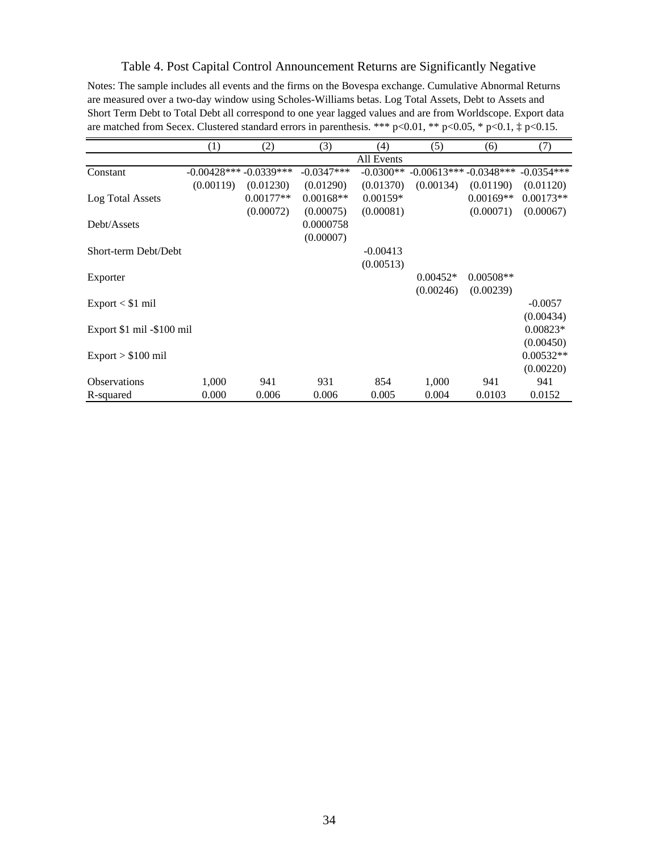# Table 4. Post Capital Control Announcement Returns are Significantly Negative

Notes: The sample includes all events and the firms on the Bovespa exchange. Cumulative Abnormal Returns are measured over a two-day window using Scholes-Williams betas. Log Total Assets, Debt to Assets and Short Term Debt to Total Debt all correspond to one year lagged values and are from Worldscope. Export data are matched from Secex. Clustered standard errors in parenthesis. \*\*\* p<0.01, \*\* p<0.05, \* p<0.1,  $\ddagger$  p<0.15.

|                             | (1)                     | (2)         | (3)          | (4)         | (5)                     | (6)         | (7)          |
|-----------------------------|-------------------------|-------------|--------------|-------------|-------------------------|-------------|--------------|
|                             |                         |             |              | All Events  |                         |             |              |
| Constant                    | $-0.00428***-0.0339***$ |             | $-0.0347***$ | $-0.0300**$ | $-0.00613***-0.0348***$ |             | $-0.0354***$ |
|                             | (0.00119)               | (0.01230)   | (0.01290)    | (0.01370)   | (0.00134)               | (0.01190)   | (0.01120)    |
| Log Total Assets            |                         | $0.00177**$ | $0.00168**$  | $0.00159*$  |                         | $0.00169**$ | $0.00173**$  |
|                             |                         | (0.00072)   | (0.00075)    | (0.00081)   |                         | (0.00071)   | (0.00067)    |
| Debt/Assets                 |                         |             | 0.0000758    |             |                         |             |              |
|                             |                         |             | (0.00007)    |             |                         |             |              |
| Short-term Debt/Debt        |                         |             |              | $-0.00413$  |                         |             |              |
|                             |                         |             |              | (0.00513)   |                         |             |              |
| Exporter                    |                         |             |              |             | $0.00452*$              | $0.00508**$ |              |
|                             |                         |             |              |             | (0.00246)               | (0.00239)   |              |
| $Export < $1 \text{ mil}$   |                         |             |              |             |                         |             | $-0.0057$    |
|                             |                         |             |              |             |                         |             | (0.00434)    |
| Export \$1 mil -\$100 mil   |                         |             |              |             |                         |             | $0.00823*$   |
|                             |                         |             |              |             |                         |             | (0.00450)    |
| $Export > $100 \text{ mil}$ |                         |             |              |             |                         |             | $0.00532**$  |
|                             |                         |             |              |             |                         |             | (0.00220)    |
| <b>Observations</b>         | 1,000                   | 941         | 931          | 854         | 1,000                   | 941         | 941          |
| R-squared                   | 0.000                   | 0.006       | 0.006        | 0.005       | 0.004                   | 0.0103      | 0.0152       |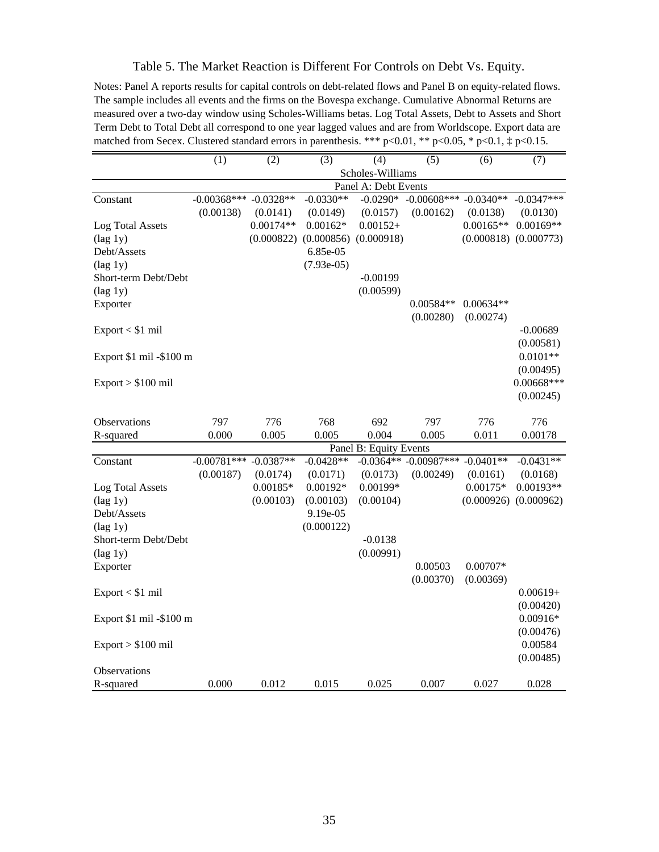# Table 5. The Market Reaction is Different For Controls on Debt Vs. Equity.

Notes: Panel A reports results for capital controls on debt-related flows and Panel B on equity-related flows. The sample includes all events and the firms on the Bovespa exchange. Cumulative Abnormal Returns are measured over a two-day window using Scholes-Williams betas. Log Total Assets, Debt to Assets and Short Term Debt to Total Debt all correspond to one year lagged values and are from Worldscope. Export data are matched from Secex. Clustered standard errors in parenthesis. \*\*\* p<0.01, \*\* p<0.05, \* p<0.1,  $\ddagger$  p<0.15.

|                         | $\overline{(1)}$ | $\overline{(2)}$ | $\overline{(3)}$ | $\overline{(4)}$       | $\overline{(5)}$          | (6)         | $\overline{(7)}$ |
|-------------------------|------------------|------------------|------------------|------------------------|---------------------------|-------------|------------------|
|                         |                  |                  |                  | Scholes-Williams       |                           |             |                  |
|                         |                  |                  |                  | Panel A: Debt Events   |                           |             |                  |
| Constant                | $-0.00368***$    | $-0.0328**$      | $-0.0330**$      | $-0.0290*$             | $-0.00608***$             | $-0.0340**$ | $-0.0347***$     |
|                         | (0.00138)        | (0.0141)         | (0.0149)         | (0.0157)               | (0.00162)                 | (0.0138)    | (0.0130)         |
| Log Total Assets        |                  | $0.00174**$      | $0.00162*$       | $0.00152+$             |                           | $0.00165**$ | $0.00169**$      |
| $(\text{lag 1y})$       |                  | (0.000822)       | (0.000856)       | (0.000918)             |                           | (0.000818)  | (0.000773)       |
| Debt/Assets             |                  |                  | 6.85e-05         |                        |                           |             |                  |
| $(\text{lag 1y})$       |                  |                  | $(7.93e-05)$     |                        |                           |             |                  |
| Short-term Debt/Debt    |                  |                  |                  | $-0.00199$             |                           |             |                  |
| $(\text{lag 1y})$       |                  |                  |                  | (0.00599)              |                           |             |                  |
| Exporter                |                  |                  |                  |                        | 0.00584**                 | $0.00634**$ |                  |
|                         |                  |                  |                  |                        | (0.00280)                 | (0.00274)   |                  |
| $Export < $1$ mil       |                  |                  |                  |                        |                           |             | $-0.00689$       |
|                         |                  |                  |                  |                        |                           |             | (0.00581)        |
| Export \$1 mil -\$100 m |                  |                  |                  |                        |                           |             | $0.0101**$       |
|                         |                  |                  |                  |                        |                           |             | (0.00495)        |
| $Export > $100$ mil     |                  |                  |                  |                        |                           |             | $0.00668***$     |
|                         |                  |                  |                  |                        |                           |             | (0.00245)        |
|                         |                  |                  |                  |                        |                           |             |                  |
| <b>Observations</b>     | 797              | 776              | 768              | 692                    | 797                       | 776         | 776              |
| R-squared               | 0.000            | 0.005            | 0.005            | 0.004                  | 0.005                     | 0.011       | 0.00178          |
|                         |                  |                  |                  | Panel B: Equity Events |                           |             |                  |
| Constant                | $-0.00781***$    | $-0.0387**$      | $-0.0428**$      |                        | $-0.0364**$ $-0.00987***$ | $-0.0401**$ | $-0.0431**$      |
|                         | (0.00187)        | (0.0174)         | (0.0171)         | (0.0173)               | (0.00249)                 | (0.0161)    | (0.0168)         |
| Log Total Assets        |                  | $0.00185*$       | $0.00192*$       | 0.00199*               |                           | $0.00175*$  | $0.00193**$      |
| $(\text{lag 1y})$       |                  | (0.00103)        | (0.00103)        | (0.00104)              |                           | (0.000926)  | (0.000962)       |
| Debt/Assets             |                  |                  | 9.19e-05         |                        |                           |             |                  |
|                         |                  |                  | (0.000122)       |                        |                           |             |                  |
| $(\text{lag } 1y)$      |                  |                  |                  |                        |                           |             |                  |
| Short-term Debt/Debt    |                  |                  |                  | $-0.0138$              |                           |             |                  |
| $(\text{lag 1y})$       |                  |                  |                  | (0.00991)              |                           |             |                  |
| Exporter                |                  |                  |                  |                        | 0.00503                   | $0.00707*$  |                  |
|                         |                  |                  |                  |                        | (0.00370)                 | (0.00369)   |                  |
| Export < \$1 mil        |                  |                  |                  |                        |                           |             | $0.00619+$       |
|                         |                  |                  |                  |                        |                           |             | (0.00420)        |
| Export \$1 mil -\$100 m |                  |                  |                  |                        |                           |             | $0.00916*$       |
|                         |                  |                  |                  |                        |                           |             | (0.00476)        |
| $Export > $100$ mil     |                  |                  |                  |                        |                           |             | 0.00584          |
|                         |                  |                  |                  |                        |                           |             | (0.00485)        |
| Observations            |                  |                  |                  |                        |                           |             |                  |
| R-squared               | 0.000            | 0.012            | 0.015            | 0.025                  | 0.007                     | 0.027       | 0.028            |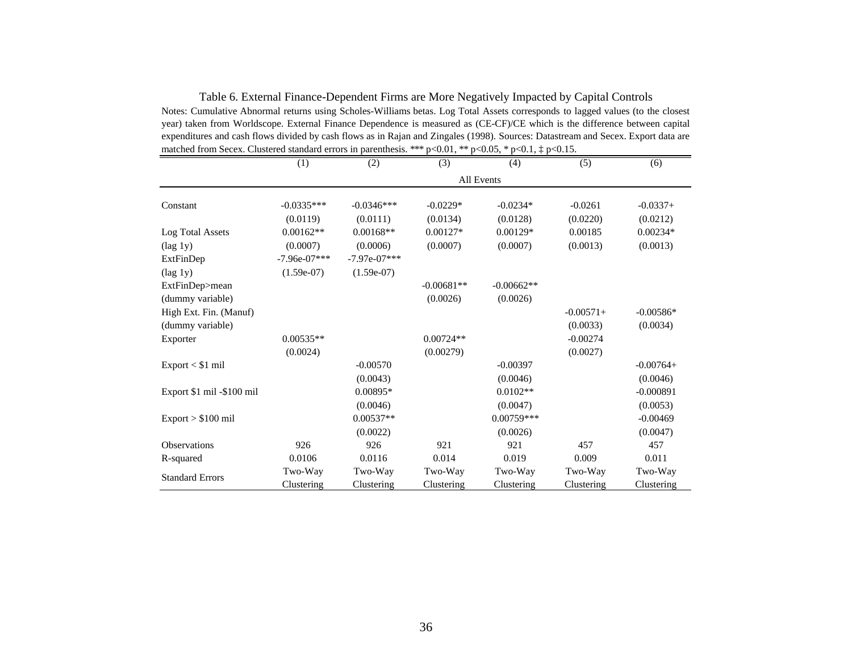|                           | (1)            | (2)            | (3)          | (4)          | (5)         | (6)         |
|---------------------------|----------------|----------------|--------------|--------------|-------------|-------------|
|                           |                |                |              | All Events   |             |             |
| Constant                  | $-0.0335***$   | $-0.0346***$   | $-0.0229*$   | $-0.0234*$   | $-0.0261$   | $-0.0337+$  |
|                           | (0.0119)       | (0.0111)       | (0.0134)     | (0.0128)     | (0.0220)    | (0.0212)    |
| Log Total Assets          | $0.00162**$    | $0.00168**$    | $0.00127*$   | $0.00129*$   | 0.00185     | $0.00234*$  |
| $(\text{lag 1y})$         | (0.0007)       | (0.0006)       | (0.0007)     | (0.0007)     | (0.0013)    | (0.0013)    |
| ExtFinDep                 | $-7.96e-07***$ | $-7.97e-07***$ |              |              |             |             |
| $(\text{lag 1y})$         | $(1.59e-07)$   | $(1.59e-07)$   |              |              |             |             |
| ExtFinDep>mean            |                |                | $-0.00681**$ | $-0.00662**$ |             |             |
| (dummy variable)          |                |                | (0.0026)     | (0.0026)     |             |             |
| High Ext. Fin. (Manuf)    |                |                |              |              | $-0.00571+$ | $-0.00586*$ |
| (dummy variable)          |                |                |              |              | (0.0033)    | (0.0034)    |
| Exporter                  | $0.00535**$    |                | $0.00724**$  |              | $-0.00274$  |             |
|                           | (0.0024)       |                | (0.00279)    |              | (0.0027)    |             |
| $Export < $1$ mil         |                | $-0.00570$     |              | $-0.00397$   |             | $-0.00764+$ |
|                           |                | (0.0043)       |              | (0.0046)     |             | (0.0046)    |
| Export \$1 mil -\$100 mil |                | $0.00895*$     |              | $0.0102**$   |             | $-0.000891$ |
|                           |                | (0.0046)       |              | (0.0047)     |             | (0.0053)    |
| $Export > $100$ mil       |                | $0.00537**$    |              | $0.00759***$ |             | $-0.00469$  |
|                           |                | (0.0022)       |              | (0.0026)     |             | (0.0047)    |
| <b>Observations</b>       | 926            | 926            | 921          | 921          | 457         | 457         |
| R-squared                 | 0.0106         | 0.0116         | 0.014        | 0.019        | 0.009       | 0.011       |
| <b>Standard Errors</b>    | Two-Way        | Two-Way        | Two-Way      | Two-Way      | Two-Way     | Two-Way     |
|                           | Clustering     | Clustering     | Clustering   | Clustering   | Clustering  | Clustering  |

Table 6. External Finance-Dependent Firms are More Negatively Impacted by Capital Controls Notes: Cumulative Abnormal returns using Scholes-Williams betas. Log Total Assets corresponds to lagged values (to the closest year) taken from Worldscope. External Finance Dependence is measured as (CE-CF)/CE which is the difference between capital expenditures and cash flows divided by cash flows as in Rajan and Zingales (1998). Sources: Datastream and Secex. Export data are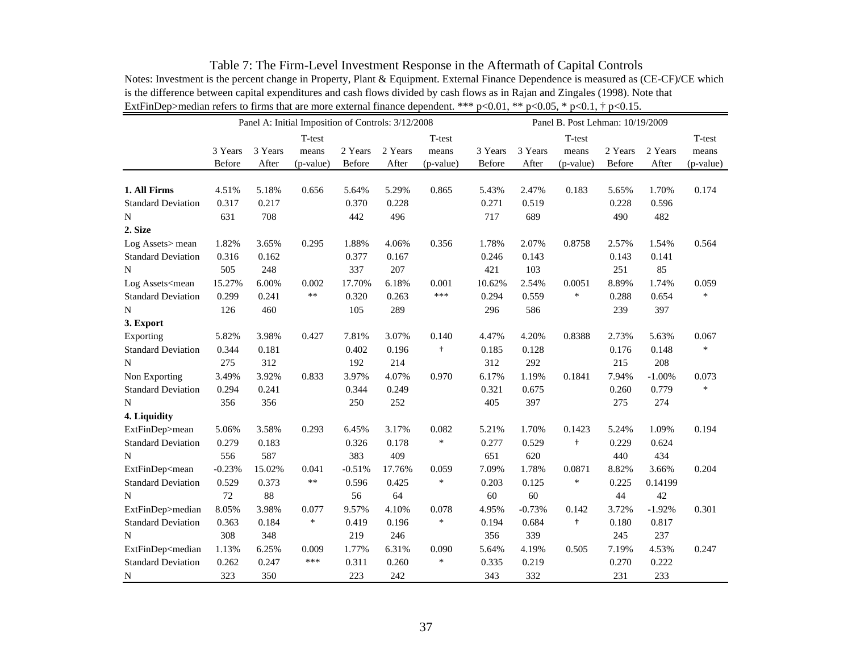| Table 7: The Firm-Level Investment Response in the Aftermath of Capital Controls                                                    |
|-------------------------------------------------------------------------------------------------------------------------------------|
| Notes: Investment is the percent change in Property, Plant & Equipment. External Finance Dependence is measured as (CE-CF)/CE which |
| is the difference between capital expenditures and cash flows divided by cash flows as in Rajan and Zingales (1998). Note that      |
| ExtFinDep>median refers to firms that are more external finance dependent. *** $p<0.01$ , ** $p<0.05$ , * $p<0.1$ , † $p<0.15$ .    |

| T-test<br>$\operatorname{\mathsf{T-test}}$<br>T-test<br>T-test<br>3 Years<br>3 Years<br>2 Years<br>2 Years<br>3 Years<br>3 Years<br>2 Years<br>2 Years<br>means<br>means<br>means<br>means<br>Before<br>After<br>(p-value)<br>Before<br>After<br>(p-value)<br>Before<br>After<br>(p-value)<br>Before<br>After<br>(p-value)<br>1. All Firms<br>4.51%<br>5.18%<br>0.656<br>5.64%<br>5.29%<br>0.865<br>5.43%<br>2.47%<br>0.183<br>5.65%<br>1.70%<br>0.174<br>0.317<br>0.217<br>0.370<br>0.228<br>0.271<br>0.519<br>0.228<br><b>Standard Deviation</b><br>0.596<br>631<br>708<br>442<br>496<br>717<br>689<br>490<br>482<br>${\bf N}$<br>2. Size<br>1.82%<br>0.295<br>1.88%<br>0.356<br>1.78%<br>2.07%<br>0.8758<br>1.54%<br>0.564<br>Log Assets > mean<br>3.65%<br>4.06%<br>2.57%<br><b>Standard Deviation</b><br>0.316<br>0.162<br>0.377<br>0.167<br>0.246<br>0.143<br>0.143<br>0.141<br>505<br>248<br>337<br>207<br>421<br>103<br>251<br>85<br>10.62%<br>8.89%<br>15.27%<br>6.00%<br>0.002<br>17.70%<br>6.18%<br>0.001<br>2.54%<br>0.0051<br>1.74%<br>0.059<br>$***$<br>***<br>$\ast$<br>$\ast$<br><b>Standard Deviation</b><br>0.299<br>0.241<br>0.320<br>0.263<br>0.294<br>0.559<br>0.288<br>0.654<br>586<br>126<br>460<br>105<br>289<br>296<br>239<br>397<br>N<br>3. Export<br>Exporting<br>5.82%<br>3.98%<br>0.427<br>7.81%<br>3.07%<br>0.140<br>4.47%<br>4.20%<br>0.8388<br>2.73%<br>5.63%<br>0.067<br>$^\mathrm{+}$<br>$\ast$<br>0.344<br>0.181<br>0.402<br>0.196<br>0.185<br>0.176<br>0.148<br><b>Standard Deviation</b><br>0.128<br>312<br>275<br>312<br>192<br>214<br>292<br>215<br>208<br>N<br>3.49%<br>3.97%<br>6.17%<br>0.1841<br>Non Exporting<br>3.92%<br>0.833<br>4.07%<br>0.970<br>1.19%<br>7.94%<br>$-1.00%$<br>0.073<br>$\ast$<br><b>Standard Deviation</b><br>0.294<br>0.241<br>0.344<br>0.249<br>0.321<br>0.675<br>0.260<br>0.779<br>356<br>356<br>250<br>252<br>405<br>397<br>275<br>274<br>4. Liquidity<br>ExtFinDep>mean<br>3.58%<br>0.293<br>6.45%<br>3.17%<br>0.082<br>5.21%<br>1.70%<br>0.1423<br>1.09%<br>0.194<br>5.06%<br>5.24%<br>$\ast$<br>0.279<br>0.183<br>0.326<br>0.178<br>0.277<br>t<br>0.229<br><b>Standard Deviation</b><br>0.529<br>0.624<br>556<br>383<br>409<br>651<br>587<br>620<br>440<br>434<br>N<br>ExtFinDep <mean<br><math>-0.23%</math><br/>15.02%<br/><math>-0.51%</math><br/>7.09%<br/>0.0871<br/>8.82%<br/>3.66%<br/>0.041<br/>17.76%<br/>0.059<br/>1.78%<br/>0.204<br/><math>***</math><br/><math display="inline">\ast</math><br/>0.529<br/>0.373<br/>0.596<br/>0.425<br/>0.203<br/><math>\ast</math><br/>0.225<br/><b>Standard Deviation</b><br/>0.125<br/>0.14199<br/>72<br/>88<br/>60<br/>44<br/>56<br/>64<br/>60<br/>42<br/>N<br/>8.05%<br/>ExtFinDep&gt;median<br/>3.98%<br/>9.57%<br/>4.10%<br/>0.078<br/>4.95%<br/><math>-0.73%</math><br/>0.142<br/>3.72%<br/><math>-1.92%</math><br/>0.301<br/>0.077<br/><math display="inline">\ast</math><br/><math display="inline">\ast</math><br/><b>Standard Deviation</b><br/>0.363<br/>0.184<br/>0.419<br/>0.196<br/>0.684<br/><math>\ddagger</math><br/>0.180<br/>0.817<br/>0.194<br/>308<br/>237<br/>348<br/>219<br/>246<br/>356<br/>339<br/>N<br/>245</mean<br> |                                                                                                                                                                                                             | Panel A: Initial Imposition of Controls: 3/12/2008<br>Panel B. Post Lehman: 10/19/2009 |       |       |       |       |       |       |       |       |       |       |       |
|------------------------------------------------------------------------------------------------------------------------------------------------------------------------------------------------------------------------------------------------------------------------------------------------------------------------------------------------------------------------------------------------------------------------------------------------------------------------------------------------------------------------------------------------------------------------------------------------------------------------------------------------------------------------------------------------------------------------------------------------------------------------------------------------------------------------------------------------------------------------------------------------------------------------------------------------------------------------------------------------------------------------------------------------------------------------------------------------------------------------------------------------------------------------------------------------------------------------------------------------------------------------------------------------------------------------------------------------------------------------------------------------------------------------------------------------------------------------------------------------------------------------------------------------------------------------------------------------------------------------------------------------------------------------------------------------------------------------------------------------------------------------------------------------------------------------------------------------------------------------------------------------------------------------------------------------------------------------------------------------------------------------------------------------------------------------------------------------------------------------------------------------------------------------------------------------------------------------------------------------------------------------------------------------------------------------------------------------------------------------------------------------------------------------------------------------------------------------------------------------------------------------------------------------------------------------------------------------------------------------------------------------------------------------------------------------------------------------------------------------------------------------------------------------------------------------------------------------------------------------------------------------------------------------------------------------------------------------------------------------------------------------------------------------------------------------------------------------------------------------------------------------------------------------|-------------------------------------------------------------------------------------------------------------------------------------------------------------------------------------------------------------|----------------------------------------------------------------------------------------|-------|-------|-------|-------|-------|-------|-------|-------|-------|-------|-------|
|                                                                                                                                                                                                                                                                                                                                                                                                                                                                                                                                                                                                                                                                                                                                                                                                                                                                                                                                                                                                                                                                                                                                                                                                                                                                                                                                                                                                                                                                                                                                                                                                                                                                                                                                                                                                                                                                                                                                                                                                                                                                                                                                                                                                                                                                                                                                                                                                                                                                                                                                                                                                                                                                                                                                                                                                                                                                                                                                                                                                                                                                                                                                                                        |                                                                                                                                                                                                             |                                                                                        |       |       |       |       |       |       |       |       |       |       |       |
|                                                                                                                                                                                                                                                                                                                                                                                                                                                                                                                                                                                                                                                                                                                                                                                                                                                                                                                                                                                                                                                                                                                                                                                                                                                                                                                                                                                                                                                                                                                                                                                                                                                                                                                                                                                                                                                                                                                                                                                                                                                                                                                                                                                                                                                                                                                                                                                                                                                                                                                                                                                                                                                                                                                                                                                                                                                                                                                                                                                                                                                                                                                                                                        |                                                                                                                                                                                                             |                                                                                        |       |       |       |       |       |       |       |       |       |       |       |
|                                                                                                                                                                                                                                                                                                                                                                                                                                                                                                                                                                                                                                                                                                                                                                                                                                                                                                                                                                                                                                                                                                                                                                                                                                                                                                                                                                                                                                                                                                                                                                                                                                                                                                                                                                                                                                                                                                                                                                                                                                                                                                                                                                                                                                                                                                                                                                                                                                                                                                                                                                                                                                                                                                                                                                                                                                                                                                                                                                                                                                                                                                                                                                        |                                                                                                                                                                                                             |                                                                                        |       |       |       |       |       |       |       |       |       |       |       |
|                                                                                                                                                                                                                                                                                                                                                                                                                                                                                                                                                                                                                                                                                                                                                                                                                                                                                                                                                                                                                                                                                                                                                                                                                                                                                                                                                                                                                                                                                                                                                                                                                                                                                                                                                                                                                                                                                                                                                                                                                                                                                                                                                                                                                                                                                                                                                                                                                                                                                                                                                                                                                                                                                                                                                                                                                                                                                                                                                                                                                                                                                                                                                                        |                                                                                                                                                                                                             |                                                                                        |       |       |       |       |       |       |       |       |       |       |       |
|                                                                                                                                                                                                                                                                                                                                                                                                                                                                                                                                                                                                                                                                                                                                                                                                                                                                                                                                                                                                                                                                                                                                                                                                                                                                                                                                                                                                                                                                                                                                                                                                                                                                                                                                                                                                                                                                                                                                                                                                                                                                                                                                                                                                                                                                                                                                                                                                                                                                                                                                                                                                                                                                                                                                                                                                                                                                                                                                                                                                                                                                                                                                                                        |                                                                                                                                                                                                             |                                                                                        |       |       |       |       |       |       |       |       |       |       |       |
|                                                                                                                                                                                                                                                                                                                                                                                                                                                                                                                                                                                                                                                                                                                                                                                                                                                                                                                                                                                                                                                                                                                                                                                                                                                                                                                                                                                                                                                                                                                                                                                                                                                                                                                                                                                                                                                                                                                                                                                                                                                                                                                                                                                                                                                                                                                                                                                                                                                                                                                                                                                                                                                                                                                                                                                                                                                                                                                                                                                                                                                                                                                                                                        |                                                                                                                                                                                                             |                                                                                        |       |       |       |       |       |       |       |       |       |       |       |
|                                                                                                                                                                                                                                                                                                                                                                                                                                                                                                                                                                                                                                                                                                                                                                                                                                                                                                                                                                                                                                                                                                                                                                                                                                                                                                                                                                                                                                                                                                                                                                                                                                                                                                                                                                                                                                                                                                                                                                                                                                                                                                                                                                                                                                                                                                                                                                                                                                                                                                                                                                                                                                                                                                                                                                                                                                                                                                                                                                                                                                                                                                                                                                        |                                                                                                                                                                                                             |                                                                                        |       |       |       |       |       |       |       |       |       |       |       |
|                                                                                                                                                                                                                                                                                                                                                                                                                                                                                                                                                                                                                                                                                                                                                                                                                                                                                                                                                                                                                                                                                                                                                                                                                                                                                                                                                                                                                                                                                                                                                                                                                                                                                                                                                                                                                                                                                                                                                                                                                                                                                                                                                                                                                                                                                                                                                                                                                                                                                                                                                                                                                                                                                                                                                                                                                                                                                                                                                                                                                                                                                                                                                                        |                                                                                                                                                                                                             |                                                                                        |       |       |       |       |       |       |       |       |       |       |       |
|                                                                                                                                                                                                                                                                                                                                                                                                                                                                                                                                                                                                                                                                                                                                                                                                                                                                                                                                                                                                                                                                                                                                                                                                                                                                                                                                                                                                                                                                                                                                                                                                                                                                                                                                                                                                                                                                                                                                                                                                                                                                                                                                                                                                                                                                                                                                                                                                                                                                                                                                                                                                                                                                                                                                                                                                                                                                                                                                                                                                                                                                                                                                                                        |                                                                                                                                                                                                             |                                                                                        |       |       |       |       |       |       |       |       |       |       |       |
|                                                                                                                                                                                                                                                                                                                                                                                                                                                                                                                                                                                                                                                                                                                                                                                                                                                                                                                                                                                                                                                                                                                                                                                                                                                                                                                                                                                                                                                                                                                                                                                                                                                                                                                                                                                                                                                                                                                                                                                                                                                                                                                                                                                                                                                                                                                                                                                                                                                                                                                                                                                                                                                                                                                                                                                                                                                                                                                                                                                                                                                                                                                                                                        |                                                                                                                                                                                                             |                                                                                        |       |       |       |       |       |       |       |       |       |       |       |
|                                                                                                                                                                                                                                                                                                                                                                                                                                                                                                                                                                                                                                                                                                                                                                                                                                                                                                                                                                                                                                                                                                                                                                                                                                                                                                                                                                                                                                                                                                                                                                                                                                                                                                                                                                                                                                                                                                                                                                                                                                                                                                                                                                                                                                                                                                                                                                                                                                                                                                                                                                                                                                                                                                                                                                                                                                                                                                                                                                                                                                                                                                                                                                        | N                                                                                                                                                                                                           |                                                                                        |       |       |       |       |       |       |       |       |       |       |       |
|                                                                                                                                                                                                                                                                                                                                                                                                                                                                                                                                                                                                                                                                                                                                                                                                                                                                                                                                                                                                                                                                                                                                                                                                                                                                                                                                                                                                                                                                                                                                                                                                                                                                                                                                                                                                                                                                                                                                                                                                                                                                                                                                                                                                                                                                                                                                                                                                                                                                                                                                                                                                                                                                                                                                                                                                                                                                                                                                                                                                                                                                                                                                                                        | Log Assets <mean< td=""><td></td><td></td><td></td><td></td><td></td><td></td><td></td><td></td><td></td><td></td><td></td><td></td></mean<>                                                                |                                                                                        |       |       |       |       |       |       |       |       |       |       |       |
|                                                                                                                                                                                                                                                                                                                                                                                                                                                                                                                                                                                                                                                                                                                                                                                                                                                                                                                                                                                                                                                                                                                                                                                                                                                                                                                                                                                                                                                                                                                                                                                                                                                                                                                                                                                                                                                                                                                                                                                                                                                                                                                                                                                                                                                                                                                                                                                                                                                                                                                                                                                                                                                                                                                                                                                                                                                                                                                                                                                                                                                                                                                                                                        |                                                                                                                                                                                                             |                                                                                        |       |       |       |       |       |       |       |       |       |       |       |
|                                                                                                                                                                                                                                                                                                                                                                                                                                                                                                                                                                                                                                                                                                                                                                                                                                                                                                                                                                                                                                                                                                                                                                                                                                                                                                                                                                                                                                                                                                                                                                                                                                                                                                                                                                                                                                                                                                                                                                                                                                                                                                                                                                                                                                                                                                                                                                                                                                                                                                                                                                                                                                                                                                                                                                                                                                                                                                                                                                                                                                                                                                                                                                        |                                                                                                                                                                                                             |                                                                                        |       |       |       |       |       |       |       |       |       |       |       |
|                                                                                                                                                                                                                                                                                                                                                                                                                                                                                                                                                                                                                                                                                                                                                                                                                                                                                                                                                                                                                                                                                                                                                                                                                                                                                                                                                                                                                                                                                                                                                                                                                                                                                                                                                                                                                                                                                                                                                                                                                                                                                                                                                                                                                                                                                                                                                                                                                                                                                                                                                                                                                                                                                                                                                                                                                                                                                                                                                                                                                                                                                                                                                                        |                                                                                                                                                                                                             |                                                                                        |       |       |       |       |       |       |       |       |       |       |       |
|                                                                                                                                                                                                                                                                                                                                                                                                                                                                                                                                                                                                                                                                                                                                                                                                                                                                                                                                                                                                                                                                                                                                                                                                                                                                                                                                                                                                                                                                                                                                                                                                                                                                                                                                                                                                                                                                                                                                                                                                                                                                                                                                                                                                                                                                                                                                                                                                                                                                                                                                                                                                                                                                                                                                                                                                                                                                                                                                                                                                                                                                                                                                                                        |                                                                                                                                                                                                             |                                                                                        |       |       |       |       |       |       |       |       |       |       |       |
|                                                                                                                                                                                                                                                                                                                                                                                                                                                                                                                                                                                                                                                                                                                                                                                                                                                                                                                                                                                                                                                                                                                                                                                                                                                                                                                                                                                                                                                                                                                                                                                                                                                                                                                                                                                                                                                                                                                                                                                                                                                                                                                                                                                                                                                                                                                                                                                                                                                                                                                                                                                                                                                                                                                                                                                                                                                                                                                                                                                                                                                                                                                                                                        |                                                                                                                                                                                                             |                                                                                        |       |       |       |       |       |       |       |       |       |       |       |
|                                                                                                                                                                                                                                                                                                                                                                                                                                                                                                                                                                                                                                                                                                                                                                                                                                                                                                                                                                                                                                                                                                                                                                                                                                                                                                                                                                                                                                                                                                                                                                                                                                                                                                                                                                                                                                                                                                                                                                                                                                                                                                                                                                                                                                                                                                                                                                                                                                                                                                                                                                                                                                                                                                                                                                                                                                                                                                                                                                                                                                                                                                                                                                        |                                                                                                                                                                                                             |                                                                                        |       |       |       |       |       |       |       |       |       |       |       |
|                                                                                                                                                                                                                                                                                                                                                                                                                                                                                                                                                                                                                                                                                                                                                                                                                                                                                                                                                                                                                                                                                                                                                                                                                                                                                                                                                                                                                                                                                                                                                                                                                                                                                                                                                                                                                                                                                                                                                                                                                                                                                                                                                                                                                                                                                                                                                                                                                                                                                                                                                                                                                                                                                                                                                                                                                                                                                                                                                                                                                                                                                                                                                                        |                                                                                                                                                                                                             |                                                                                        |       |       |       |       |       |       |       |       |       |       |       |
|                                                                                                                                                                                                                                                                                                                                                                                                                                                                                                                                                                                                                                                                                                                                                                                                                                                                                                                                                                                                                                                                                                                                                                                                                                                                                                                                                                                                                                                                                                                                                                                                                                                                                                                                                                                                                                                                                                                                                                                                                                                                                                                                                                                                                                                                                                                                                                                                                                                                                                                                                                                                                                                                                                                                                                                                                                                                                                                                                                                                                                                                                                                                                                        |                                                                                                                                                                                                             |                                                                                        |       |       |       |       |       |       |       |       |       |       |       |
|                                                                                                                                                                                                                                                                                                                                                                                                                                                                                                                                                                                                                                                                                                                                                                                                                                                                                                                                                                                                                                                                                                                                                                                                                                                                                                                                                                                                                                                                                                                                                                                                                                                                                                                                                                                                                                                                                                                                                                                                                                                                                                                                                                                                                                                                                                                                                                                                                                                                                                                                                                                                                                                                                                                                                                                                                                                                                                                                                                                                                                                                                                                                                                        | $\mathbf N$                                                                                                                                                                                                 |                                                                                        |       |       |       |       |       |       |       |       |       |       |       |
|                                                                                                                                                                                                                                                                                                                                                                                                                                                                                                                                                                                                                                                                                                                                                                                                                                                                                                                                                                                                                                                                                                                                                                                                                                                                                                                                                                                                                                                                                                                                                                                                                                                                                                                                                                                                                                                                                                                                                                                                                                                                                                                                                                                                                                                                                                                                                                                                                                                                                                                                                                                                                                                                                                                                                                                                                                                                                                                                                                                                                                                                                                                                                                        |                                                                                                                                                                                                             |                                                                                        |       |       |       |       |       |       |       |       |       |       |       |
|                                                                                                                                                                                                                                                                                                                                                                                                                                                                                                                                                                                                                                                                                                                                                                                                                                                                                                                                                                                                                                                                                                                                                                                                                                                                                                                                                                                                                                                                                                                                                                                                                                                                                                                                                                                                                                                                                                                                                                                                                                                                                                                                                                                                                                                                                                                                                                                                                                                                                                                                                                                                                                                                                                                                                                                                                                                                                                                                                                                                                                                                                                                                                                        |                                                                                                                                                                                                             |                                                                                        |       |       |       |       |       |       |       |       |       |       |       |
|                                                                                                                                                                                                                                                                                                                                                                                                                                                                                                                                                                                                                                                                                                                                                                                                                                                                                                                                                                                                                                                                                                                                                                                                                                                                                                                                                                                                                                                                                                                                                                                                                                                                                                                                                                                                                                                                                                                                                                                                                                                                                                                                                                                                                                                                                                                                                                                                                                                                                                                                                                                                                                                                                                                                                                                                                                                                                                                                                                                                                                                                                                                                                                        |                                                                                                                                                                                                             |                                                                                        |       |       |       |       |       |       |       |       |       |       |       |
|                                                                                                                                                                                                                                                                                                                                                                                                                                                                                                                                                                                                                                                                                                                                                                                                                                                                                                                                                                                                                                                                                                                                                                                                                                                                                                                                                                                                                                                                                                                                                                                                                                                                                                                                                                                                                                                                                                                                                                                                                                                                                                                                                                                                                                                                                                                                                                                                                                                                                                                                                                                                                                                                                                                                                                                                                                                                                                                                                                                                                                                                                                                                                                        |                                                                                                                                                                                                             |                                                                                        |       |       |       |       |       |       |       |       |       |       |       |
|                                                                                                                                                                                                                                                                                                                                                                                                                                                                                                                                                                                                                                                                                                                                                                                                                                                                                                                                                                                                                                                                                                                                                                                                                                                                                                                                                                                                                                                                                                                                                                                                                                                                                                                                                                                                                                                                                                                                                                                                                                                                                                                                                                                                                                                                                                                                                                                                                                                                                                                                                                                                                                                                                                                                                                                                                                                                                                                                                                                                                                                                                                                                                                        |                                                                                                                                                                                                             |                                                                                        |       |       |       |       |       |       |       |       |       |       |       |
|                                                                                                                                                                                                                                                                                                                                                                                                                                                                                                                                                                                                                                                                                                                                                                                                                                                                                                                                                                                                                                                                                                                                                                                                                                                                                                                                                                                                                                                                                                                                                                                                                                                                                                                                                                                                                                                                                                                                                                                                                                                                                                                                                                                                                                                                                                                                                                                                                                                                                                                                                                                                                                                                                                                                                                                                                                                                                                                                                                                                                                                                                                                                                                        |                                                                                                                                                                                                             |                                                                                        |       |       |       |       |       |       |       |       |       |       |       |
|                                                                                                                                                                                                                                                                                                                                                                                                                                                                                                                                                                                                                                                                                                                                                                                                                                                                                                                                                                                                                                                                                                                                                                                                                                                                                                                                                                                                                                                                                                                                                                                                                                                                                                                                                                                                                                                                                                                                                                                                                                                                                                                                                                                                                                                                                                                                                                                                                                                                                                                                                                                                                                                                                                                                                                                                                                                                                                                                                                                                                                                                                                                                                                        |                                                                                                                                                                                                             |                                                                                        |       |       |       |       |       |       |       |       |       |       |       |
|                                                                                                                                                                                                                                                                                                                                                                                                                                                                                                                                                                                                                                                                                                                                                                                                                                                                                                                                                                                                                                                                                                                                                                                                                                                                                                                                                                                                                                                                                                                                                                                                                                                                                                                                                                                                                                                                                                                                                                                                                                                                                                                                                                                                                                                                                                                                                                                                                                                                                                                                                                                                                                                                                                                                                                                                                                                                                                                                                                                                                                                                                                                                                                        |                                                                                                                                                                                                             |                                                                                        |       |       |       |       |       |       |       |       |       |       |       |
|                                                                                                                                                                                                                                                                                                                                                                                                                                                                                                                                                                                                                                                                                                                                                                                                                                                                                                                                                                                                                                                                                                                                                                                                                                                                                                                                                                                                                                                                                                                                                                                                                                                                                                                                                                                                                                                                                                                                                                                                                                                                                                                                                                                                                                                                                                                                                                                                                                                                                                                                                                                                                                                                                                                                                                                                                                                                                                                                                                                                                                                                                                                                                                        |                                                                                                                                                                                                             |                                                                                        |       |       |       |       |       |       |       |       |       |       |       |
|                                                                                                                                                                                                                                                                                                                                                                                                                                                                                                                                                                                                                                                                                                                                                                                                                                                                                                                                                                                                                                                                                                                                                                                                                                                                                                                                                                                                                                                                                                                                                                                                                                                                                                                                                                                                                                                                                                                                                                                                                                                                                                                                                                                                                                                                                                                                                                                                                                                                                                                                                                                                                                                                                                                                                                                                                                                                                                                                                                                                                                                                                                                                                                        |                                                                                                                                                                                                             |                                                                                        |       |       |       |       |       |       |       |       |       |       |       |
|                                                                                                                                                                                                                                                                                                                                                                                                                                                                                                                                                                                                                                                                                                                                                                                                                                                                                                                                                                                                                                                                                                                                                                                                                                                                                                                                                                                                                                                                                                                                                                                                                                                                                                                                                                                                                                                                                                                                                                                                                                                                                                                                                                                                                                                                                                                                                                                                                                                                                                                                                                                                                                                                                                                                                                                                                                                                                                                                                                                                                                                                                                                                                                        | ExtFinDep <median< td=""><td>1.13%</td><td>6.25%</td><td>0.009</td><td>1.77%</td><td>6.31%</td><td>0.090</td><td>5.64%</td><td>4.19%</td><td>0.505</td><td>7.19%</td><td>4.53%</td><td>0.247</td></median<> | 1.13%                                                                                  | 6.25% | 0.009 | 1.77% | 6.31% | 0.090 | 5.64% | 4.19% | 0.505 | 7.19% | 4.53% | 0.247 |
| ***<br>$\ast$<br><b>Standard Deviation</b><br>0.262<br>0.247<br>0.311<br>0.270<br>0.222<br>0.260<br>0.335<br>0.219                                                                                                                                                                                                                                                                                                                                                                                                                                                                                                                                                                                                                                                                                                                                                                                                                                                                                                                                                                                                                                                                                                                                                                                                                                                                                                                                                                                                                                                                                                                                                                                                                                                                                                                                                                                                                                                                                                                                                                                                                                                                                                                                                                                                                                                                                                                                                                                                                                                                                                                                                                                                                                                                                                                                                                                                                                                                                                                                                                                                                                                     |                                                                                                                                                                                                             |                                                                                        |       |       |       |       |       |       |       |       |       |       |       |
| 323<br>350<br>242<br>343<br>332<br>231<br>233<br>223                                                                                                                                                                                                                                                                                                                                                                                                                                                                                                                                                                                                                                                                                                                                                                                                                                                                                                                                                                                                                                                                                                                                                                                                                                                                                                                                                                                                                                                                                                                                                                                                                                                                                                                                                                                                                                                                                                                                                                                                                                                                                                                                                                                                                                                                                                                                                                                                                                                                                                                                                                                                                                                                                                                                                                                                                                                                                                                                                                                                                                                                                                                   | N                                                                                                                                                                                                           |                                                                                        |       |       |       |       |       |       |       |       |       |       |       |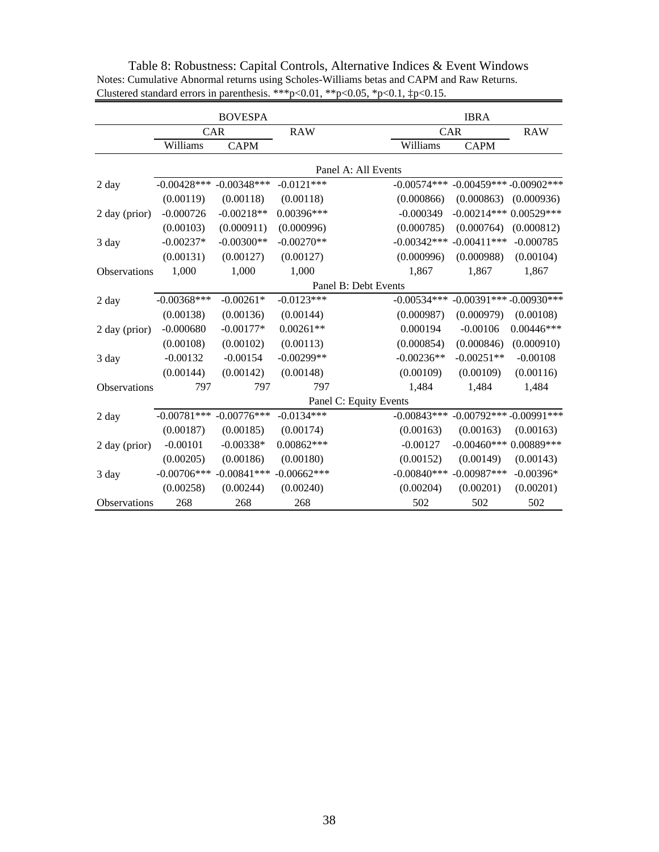|               |                | <b>BOVESPA</b> |               |                        | <b>IBRA</b>                 |              |
|---------------|----------------|----------------|---------------|------------------------|-----------------------------|--------------|
|               |                | CAR            | <b>RAW</b>    | CAR                    |                             | <b>RAW</b>   |
|               | Williams       | <b>CAPM</b>    |               | Williams               | <b>CAPM</b>                 |              |
|               |                |                |               | Panel A: All Events    |                             |              |
| 2 day         | $-0.00428$ *** | $-0.00348***$  | $-0.0121***$  | $-0.00574***$          | $-0.00459***-0.00902***$    |              |
|               | (0.00119)      | (0.00118)      | (0.00118)     | (0.000866)             | (0.000863)                  | (0.000936)   |
| 2 day (prior) | $-0.000726$    | $-0.00218**$   | 0.00396***    | $-0.000349$            | $-0.00214***0.00529***$     |              |
|               | (0.00103)      | (0.000911)     | (0.000996)    | (0.000785)             | (0.000764)                  | (0.000812)   |
| 3 day         | $-0.00237*$    | $-0.00300**$   | $-0.00270**$  | $-0.00342***$          | $-0.00411***$               | $-0.000785$  |
|               | (0.00131)      | (0.00127)      | (0.00127)     | (0.000996)             | (0.000988)                  | (0.00104)    |
| Observations  | 1,000          | 1,000          | 1,000         | 1,867                  | 1,867                       | 1,867        |
|               |                |                |               | Panel B: Debt Events   |                             |              |
| 2 day         | $-0.00368$ *** | $-0.00261*$    | $-0.0123***$  | $-0.00534***$          | $-0.00391***$ -0.00930***   |              |
|               | (0.00138)      | (0.00136)      | (0.00144)     | (0.000987)             | (0.000979)                  | (0.00108)    |
| 2 day (prior) | $-0.000680$    | $-0.00177*$    | $0.00261**$   | 0.000194               | $-0.00106$                  | $0.00446***$ |
|               | (0.00108)      | (0.00102)      | (0.00113)     | (0.000854)             | (0.000846)                  | (0.000910)   |
| 3 day         | $-0.00132$     | $-0.00154$     | $-0.00299**$  | $-0.00236**$           | $-0.00251**$                | $-0.00108$   |
|               | (0.00144)      | (0.00142)      | (0.00148)     | (0.00109)              | (0.00109)                   | (0.00116)    |
| Observations  | 797            | 797            | 797           | 1,484                  | 1,484                       | 1,484        |
|               |                |                |               | Panel C: Equity Events |                             |              |
| 2 day         | $-0.00781***$  | $-0.00776***$  | $-0.0134***$  | $-0.00843***$          | $-0.00792***$ $-0.00991***$ |              |
|               | (0.00187)      | (0.00185)      | (0.00174)     | (0.00163)              | (0.00163)                   | (0.00163)    |
| 2 day (prior) | $-0.00101$     | $-0.00338*$    | $0.00862***$  | $-0.00127$             | $-0.00460***0.00889***$     |              |
|               | (0.00205)      | (0.00186)      | (0.00180)     | (0.00152)              | (0.00149)                   | (0.00143)    |
| 3 day         | $-0.00706***$  | $-0.00841$ *** | $-0.00662***$ | $-0.00840$ ***         | $-0.00987***$               | $-0.00396*$  |
|               | (0.00258)      | (0.00244)      | (0.00240)     | (0.00204)              | (0.00201)                   | (0.00201)    |
| Observations  | 268            | 268            | 268           | 502                    | 502                         | 502          |

Table 8: Robustness: Capital Controls, Alternative Indices & Event Windows Notes: Cumulative Abnormal returns using Scholes-Williams betas and CAPM and Raw Returns. Clustered standard errors in parenthesis. \*\*\* p<0.01, \*\* p<0.05, \*p<0.1,  $\frac{1}{2}$  p<0.15.